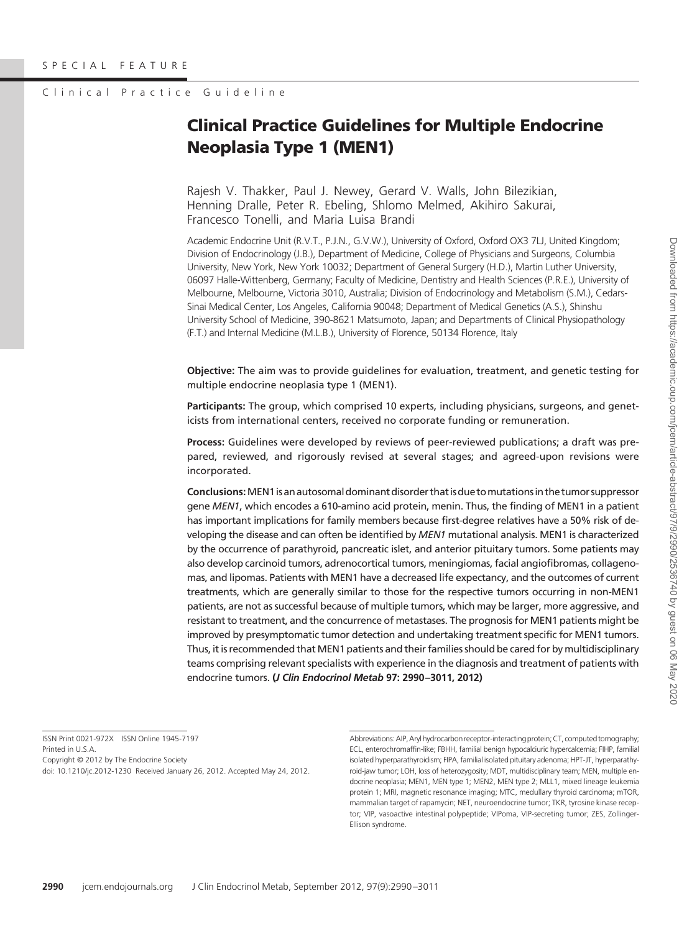# Clinical Practice Guideline

# **Clinical Practice Guidelines for Multiple Endocrine Neoplasia Type 1 (MEN1)**

Rajesh V. Thakker, Paul J. Newey, Gerard V. Walls, John Bilezikian, Henning Dralle, Peter R. Ebeling, Shlomo Melmed, Akihiro Sakurai, Francesco Tonelli, and Maria Luisa Brandi

Academic Endocrine Unit (R.V.T., P.J.N., G.V.W.), University of Oxford, Oxford OX3 7LJ, United Kingdom; Division of Endocrinology (J.B.), Department of Medicine, College of Physicians and Surgeons, Columbia University, New York, New York 10032; Department of General Surgery (H.D.), Martin Luther University, 06097 Halle-Wittenberg, Germany; Faculty of Medicine, Dentistry and Health Sciences (P.R.E.), University of Melbourne, Melbourne, Victoria 3010, Australia; Division of Endocrinology and Metabolism (S.M.), Cedars-Sinai Medical Center, Los Angeles, California 90048; Department of Medical Genetics (A.S.), Shinshu University School of Medicine, 390-8621 Matsumoto, Japan; and Departments of Clinical Physiopathology (F.T.) and Internal Medicine (M.L.B.), University of Florence, 50134 Florence, Italy

**Objective:** The aim was to provide guidelines for evaluation, treatment, and genetic testing for multiple endocrine neoplasia type 1 (MEN1).

**Participants:** The group, which comprised 10 experts, including physicians, surgeons, and geneticists from international centers, received no corporate funding or remuneration.

**Process:** Guidelines were developed by reviews of peer-reviewed publications; a draft was prepared, reviewed, and rigorously revised at several stages; and agreed-upon revisions were incorporated.

**Conclusions:**MEN1isanautosomaldominantdisorder thatisdue tomutationsin the tumor suppressor gene *MEN1*, which encodes a 610-amino acid protein, menin. Thus, the finding of MEN1 in a patient has important implications for family members because first-degree relatives have a 50% risk of developing the disease and can often be identified by *MEN1* mutational analysis. MEN1 is characterized by the occurrence of parathyroid, pancreatic islet, and anterior pituitary tumors. Some patients may also develop carcinoid tumors, adrenocortical tumors, meningiomas, facial angiofibromas, collagenomas, and lipomas. Patients with MEN1 have a decreased life expectancy, and the outcomes of current treatments, which are generally similar to those for the respective tumors occurring in non-MEN1 patients, are not as successful because of multiple tumors, which may be larger, more aggressive, and resistant to treatment, and the concurrence of metastases. The prognosis for MEN1 patients might be improved by presymptomatic tumor detection and undertaking treatment specific for MEN1 tumors. Thus, it is recommended that MEN1 patients and their families should be cared for by multidisciplinary teams comprising relevant specialists with experience in the diagnosis and treatment of patients with endocrine tumors. **(***J Clin Endocrinol Metab* **97: 2990 –3011, 2012)**

ISSN Print 0021-972X ISSN Online 1945-7197 Printed in U.S.A. Copyright © 2012 by The Endocrine Society

doi: 10.1210/jc.2012-1230 Received January 26, 2012. Accepted May 24, 2012.

Abbreviations: AIP, Aryl hydrocarbon receptor-interacting protein; CT, computed tomography; ECL, enterochromaffin-like; FBHH, familial benign hypocalciuric hypercalcemia; FIHP, familial isolated hyperparathyroidism; FIPA, familial isolated pituitary adenoma; HPT-JT, hyperparathyroid-jaw tumor; LOH, loss of heterozygosity; MDT, multidisciplinary team; MEN, multiple endocrine neoplasia; MEN1, MEN type 1; MEN2, MEN type 2; MLL1, mixed lineage leukemia protein 1; MRI, magnetic resonance imaging; MTC, medullary thyroid carcinoma; mTOR, mammalian target of rapamycin; NET, neuroendocrine tumor; TKR, tyrosine kinase receptor; VIP, vasoactive intestinal polypeptide; VIPoma, VIP-secreting tumor; ZES, Zollinger-Ellison syndrome.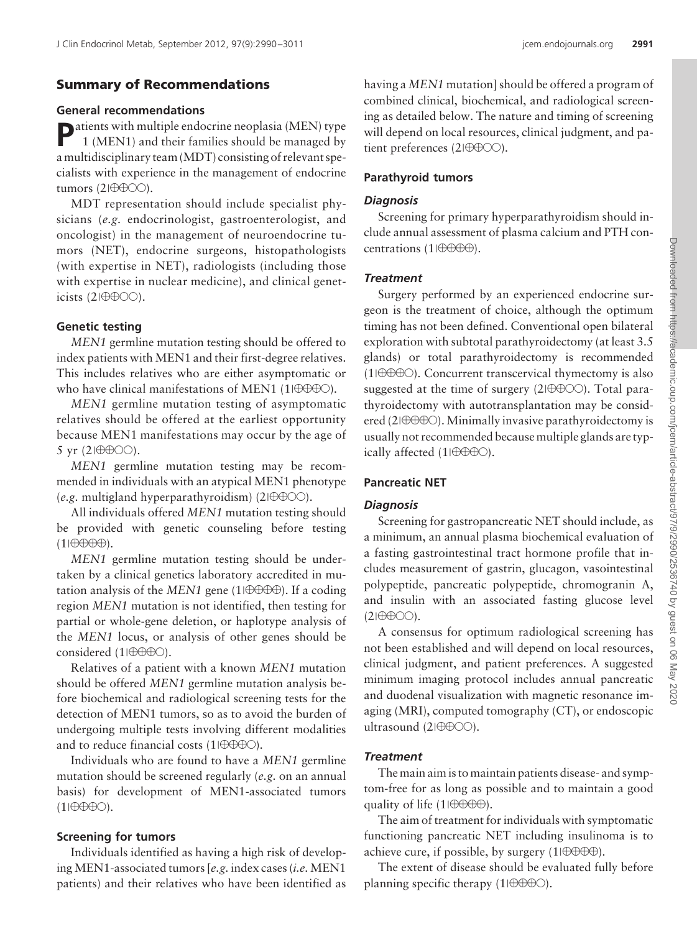# **Summary of Recommendations**

#### **General recommendations**

**P**atients with multiple endocrine neoplasia (MEN) type 1 (MEN1) and their families should be managed by a multidisciplinary team (MDT) consisting of relevant specialists with experience in the management of endocrine tumors  $(2|\theta\theta\theta\hat{O})$ .

MDT representation should include specialist physicians (*e.g.* endocrinologist, gastroenterologist, and oncologist) in the management of neuroendocrine tumors (NET), endocrine surgeons, histopathologists (with expertise in NET), radiologists (including those with expertise in nuclear medicine), and clinical geneticists  $(2I\oplus\oplus\odot\odot)$ .

### **Genetic testing**

*MEN1* germline mutation testing should be offered to index patients with MEN1 and their first-degree relatives. This includes relatives who are either asymptomatic or who have clinical manifestations of MEN1 (1 $\theta \theta \theta \theta$ ).

*MEN1* germline mutation testing of asymptomatic relatives should be offered at the earliest opportunity because MEN1 manifestations may occur by the age of 5 yr  $(2|\theta\theta\theta\hat{O})$ .

*MEN1* germline mutation testing may be recommended in individuals with an atypical MEN1 phenotype (*e.g.* multigland hyperparathyroidism) ( $2|\theta\theta\phi\phi\rangle$ ).

All individuals offered *MEN1* mutation testing should be provided with genetic counseling before testing  $(1|\oplus\oplus\oplus\oplus)$ .

*MEN1* germline mutation testing should be undertaken by a clinical genetics laboratory accredited in mutation analysis of the  $MEN1$  gene (1 $\theta \theta \theta \theta$ ). If a coding region *MEN1* mutation is not identified, then testing for partial or whole-gene deletion, or haplotype analysis of the *MEN1* locus, or analysis of other genes should be considered (1|0000).

Relatives of a patient with a known *MEN1* mutation should be offered *MEN1* germline mutation analysis before biochemical and radiological screening tests for the detection of MEN1 tumors, so as to avoid the burden of undergoing multiple tests involving different modalities and to reduce financial costs (1 $\theta \theta \theta \theta$ ).

Individuals who are found to have a *MEN1* germline mutation should be screened regularly (*e.g.* on an annual basis) for development of MEN1-associated tumors  $(1|\oplus\oplus\oplus\odot)$ .

# **Screening for tumors**

Individuals identified as having a high risk of developing MEN1-associated tumors [*e.g.* index cases (*i.e.* MEN1 patients) and their relatives who have been identified as having a *MEN1* mutation] should be offered a program of combined clinical, biochemical, and radiological screening as detailed below. The nature and timing of screening will depend on local resources, clinical judgment, and patient preferences (2 $\vert \theta \theta \theta \phi \rangle$ ).

# **Parathyroid tumors**

#### *Diagnosis*

Screening for primary hyperparathyroidism should include annual assessment of plasma calcium and PTH concentrations (1 $\theta \theta \theta \theta$ ).

### *Treatment*

Surgery performed by an experienced endocrine surgeon is the treatment of choice, although the optimum timing has not been defined. Conventional open bilateral exploration with subtotal parathyroidectomy (at least 3.5 glands) or total parathyroidectomy is recommended  $(1|\Theta\Theta\Theta)$ . Concurrent transcervical thymectomy is also suggested at the time of surgery  $(2|\theta\theta\theta\hat{O})$ . Total parathyroidectomy with autotransplantation may be considered (2 $\oplus \oplus \oplus \odot$ ). Minimally invasive parathyroidectomy is usually not recommended because multiple glands are typically affected  $(1|\theta \theta \theta \theta)$ .

# **Pancreatic NET**

### *Diagnosis*

Screening for gastropancreatic NET should include, as a minimum, an annual plasma biochemical evaluation of a fasting gastrointestinal tract hormone profile that includes measurement of gastrin, glucagon, vasointestinal polypeptide, pancreatic polypeptide, chromogranin A, and insulin with an associated fasting glucose level  $(2|\oplus\oplus\odot\odot)$ .

A consensus for optimum radiological screening has not been established and will depend on local resources, clinical judgment, and patient preferences. A suggested minimum imaging protocol includes annual pancreatic and duodenal visualization with magnetic resonance imaging (MRI), computed tomography (CT), or endoscopic ultrasound (2 $\theta$  $\theta$  $\theta$  $\odot$ ).

# *Treatment*

The main aim is to maintain patients disease- and symptom-free for as long as possible and to maintain a good quality of life  $(1|\theta \theta \theta \theta)$ .

The aim of treatment for individuals with symptomatic functioning pancreatic NET including insulinoma is to achieve cure, if possible, by surgery  $(1|\oplus \oplus \oplus \oplus)$ .

The extent of disease should be evaluated fully before planning specific therapy (1| $\oplus \oplus \oplus \odot$ ).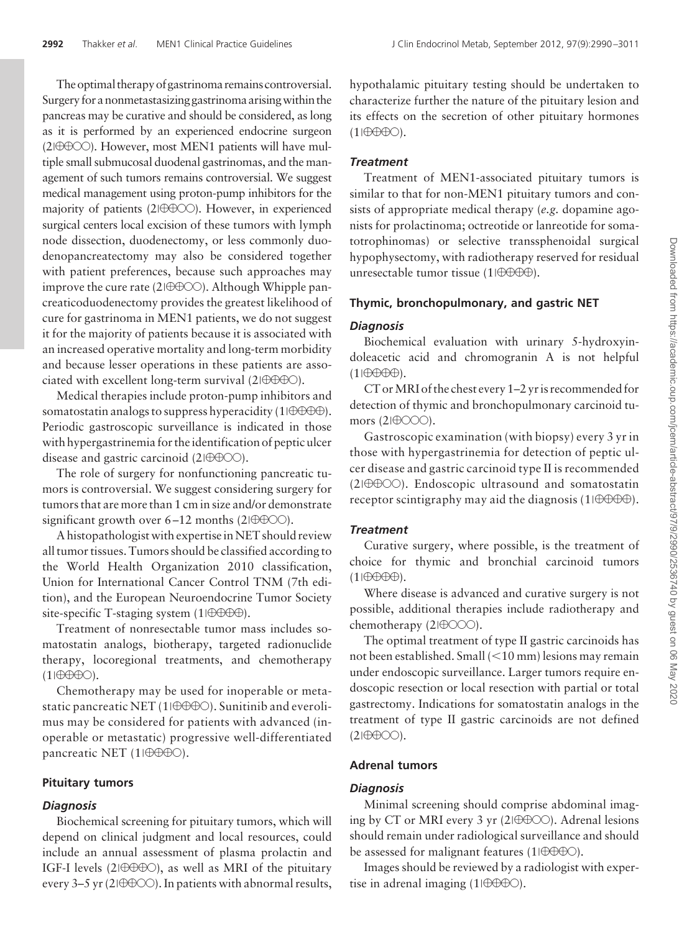The optimal therapy of gastrinoma remains controversial. Surgery for a nonmetastasizing gastrinoma arisingwithin the pancreas may be curative and should be considered, as long as it is performed by an experienced endocrine surgeon  $(2|\bigoplus\bigodot)$ . However, most MEN1 patients will have multiple small submucosal duodenal gastrinomas, and the management of such tumors remains controversial. We suggest medical management using proton-pump inhibitors for the majority of patients (2|0000). However, in experienced surgical centers local excision of these tumors with lymph node dissection, duodenectomy, or less commonly duodenopancreatectomy may also be considered together with patient preferences, because such approaches may improve the cure rate (2 $\theta$  $\theta$  $\theta$  $\odot$ ). Although Whipple pancreaticoduodenectomy provides the greatest likelihood of cure for gastrinoma in MEN1 patients, we do not suggest it for the majority of patients because it is associated with an increased operative mortality and long-term morbidity and because lesser operations in these patients are associated with excellent long-term survival  $(2|\theta \theta \theta \theta)$ .

Medical therapies include proton-pump inhibitors and somatostatin analogs to suppress hyperacidity (1 $\theta \theta \theta \theta$ ). Periodic gastroscopic surveillance is indicated in those with hypergastrinemia for the identification of peptic ulcer disease and gastric carcinoid  $(2I\oplus\oplus\odot\odot)$ .

The role of surgery for nonfunctioning pancreatic tumors is controversial. We suggest considering surgery for tumors that are more than 1 cm in size and/or demonstrate significant growth over  $6 - 12$  months (2 $\oplus \oplus \odot$ ).

A histopathologist with expertise in NET should review all tumor tissues. Tumors should be classified according to the World Health Organization 2010 classification, Union for International Cancer Control TNM (7th edition), and the European Neuroendocrine Tumor Society site-specific T-staging system (1 $\theta \theta \theta \theta$ ).

Treatment of nonresectable tumor mass includes somatostatin analogs, biotherapy, targeted radionuclide therapy, locoregional treatments, and chemotherapy  $(1|\oplus\oplus\oplus\bigcirc).$ 

Chemotherapy may be used for inoperable or metastatic pancreatic NET (1 $\ket{\oplus \oplus \oplus \odot}$ ). Sunitinib and everolimus may be considered for patients with advanced (inoperable or metastatic) progressive well-differentiated pancreatic NET (1| $\oplus$  $\oplus$  $\oplus$ ).

# **Pituitary tumors**

# *Diagnosis*

Biochemical screening for pituitary tumors, which will depend on clinical judgment and local resources, could include an annual assessment of plasma prolactin and IGF-I levels (2 $\vert \oplus \oplus \oplus \odot$ ), as well as MRI of the pituitary every 3-5 yr (2 $\Theta$  $\Theta$  $\odot$ ). In patients with abnormal results, hypothalamic pituitary testing should be undertaken to characterize further the nature of the pituitary lesion and its effects on the secretion of other pituitary hormones  $(1|\oplus\oplus\oplus\bigcirc).$ 

# *Treatment*

Treatment of MEN1-associated pituitary tumors is similar to that for non-MEN1 pituitary tumors and consists of appropriate medical therapy (*e.g.* dopamine agonists for prolactinoma; octreotide or lanreotide for somatotrophinomas) or selective transsphenoidal surgical hypophysectomy, with radiotherapy reserved for residual unresectable tumor tissue (1 $\theta$  $\theta \theta \theta$ ).

# **Thymic, bronchopulmonary, and gastric NET**

# *Diagnosis*

Biochemical evaluation with urinary 5-hydroxyindoleacetic acid and chromogranin A is not helpful  $(1|\bigoplus\bigoplus\bigoplus)$ .

CT or MRI of the chest every 1-2 yr is recommended for detection of thymic and bronchopulmonary carcinoid tumors  $(2|\theta$ OOO).

Gastroscopic examination (with biopsy) every 3 yr in those with hypergastrinemia for detection of peptic ulcer disease and gastric carcinoid type II is recommended (2|0000). Endoscopic ultrasound and somatostatin receptor scintigraphy may aid the diagnosis (1 $\theta \theta \theta \theta$ ).

# *Treatment*

Curative surgery, where possible, is the treatment of choice for thymic and bronchial carcinoid tumors  $(1|\bigoplus\bigoplus\bigoplus)$ .

Where disease is advanced and curative surgery is not possible, additional therapies include radiotherapy and chemotherapy  $(2|\oplus\text{OOO})$ .

The optimal treatment of type II gastric carcinoids has not been established. Small (<10 mm) lesions may remain under endoscopic surveillance. Larger tumors require endoscopic resection or local resection with partial or total gastrectomy. Indications for somatostatin analogs in the treatment of type II gastric carcinoids are not defined  $(2|\oplus\oplus\odot).$ 

# **Adrenal tumors**

# *Diagnosis*

Minimal screening should comprise abdominal imaging by CT or MRI every 3 yr (2 $\oplus \oplus \odot$ ). Adrenal lesions should remain under radiological surveillance and should be assessed for malignant features (1 $\theta \theta \theta \theta$ ).

Images should be reviewed by a radiologist with expertise in adrenal imaging (1 $\theta \theta \theta \theta$ ).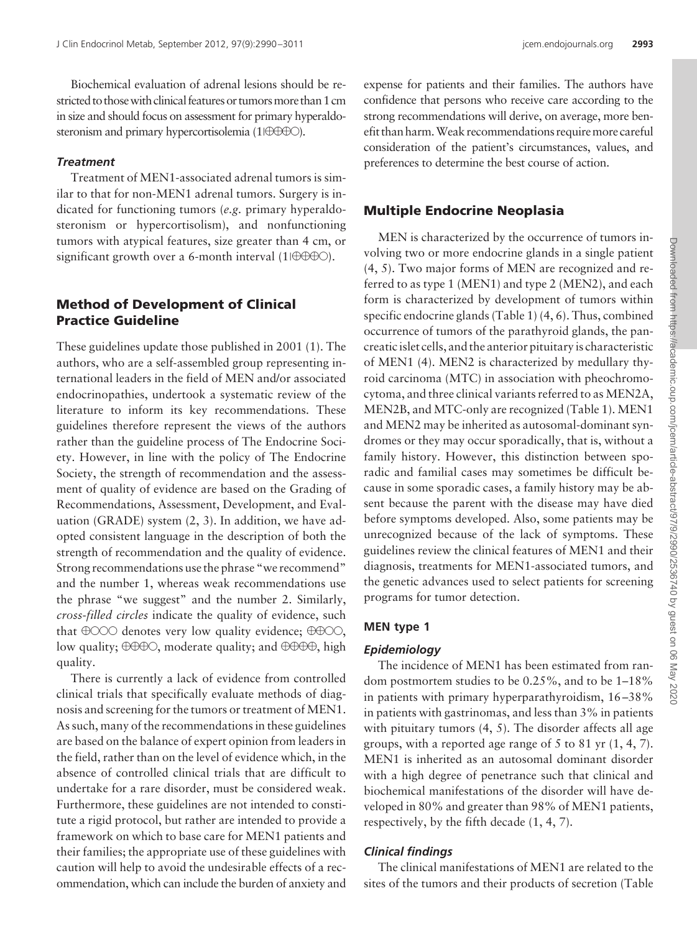Biochemical evaluation of adrenal lesions should be restricted to those with clinical features or tumors more than 1 cm in size and should focus on assessment for primary hyperaldosteronism and primary hypercortisolemia (1 $\Box$  $\Box$  $\Box$  $\Box$ ).

# *Treatment*

Treatment of MEN1-associated adrenal tumors is similar to that for non-MEN1 adrenal tumors. Surgery is indicated for functioning tumors (*e.g.* primary hyperaldosteronism or hypercortisolism), and nonfunctioning tumors with atypical features, size greater than 4 cm, or significant growth over a 6-month interval (1 $\theta \theta \theta \theta$ ).

# **Method of Development of Clinical Practice Guideline**

These guidelines update those published in 2001 (1). The authors, who are a self-assembled group representing international leaders in the field of MEN and/or associated endocrinopathies, undertook a systematic review of the literature to inform its key recommendations. These guidelines therefore represent the views of the authors rather than the guideline process of The Endocrine Society. However, in line with the policy of The Endocrine Society, the strength of recommendation and the assessment of quality of evidence are based on the Grading of Recommendations, Assessment, Development, and Evaluation (GRADE) system (2, 3). In addition, we have adopted consistent language in the description of both the strength of recommendation and the quality of evidence. Strong recommendations use the phrase "we recommend" and the number 1, whereas weak recommendations use the phrase "we suggest" and the number 2. Similarly, *cross-filled circles* indicate the quality of evidence, such that  $\Theta$ OOO denotes very low quality evidence;  $\Theta$  $\Theta$ OO, low quality;  $\oplus \oplus \oplus \circ$ , moderate quality; and  $\oplus \oplus \oplus \circ$ , high quality.

There is currently a lack of evidence from controlled clinical trials that specifically evaluate methods of diagnosis and screening for the tumors or treatment of MEN1. As such, many of the recommendations in these guidelines are based on the balance of expert opinion from leaders in the field, rather than on the level of evidence which, in the absence of controlled clinical trials that are difficult to undertake for a rare disorder, must be considered weak. Furthermore, these guidelines are not intended to constitute a rigid protocol, but rather are intended to provide a framework on which to base care for MEN1 patients and their families; the appropriate use of these guidelines with caution will help to avoid the undesirable effects of a recommendation, which can include the burden of anxiety and

expense for patients and their families. The authors have confidence that persons who receive care according to the strong recommendations will derive, on average, more benefit than harm.Weak recommendations requiremore careful consideration of the patient's circumstances, values, and preferences to determine the best course of action.

# **Multiple Endocrine Neoplasia**

MEN is characterized by the occurrence of tumors involving two or more endocrine glands in a single patient (4, 5). Two major forms of MEN are recognized and referred to as type 1 (MEN1) and type 2 (MEN2), and each form is characterized by development of tumors within specific endocrine glands (Table 1) (4, 6). Thus, combined occurrence of tumors of the parathyroid glands, the pancreatic islet cells, and the anterior pituitary is characteristic of MEN1 (4). MEN2 is characterized by medullary thyroid carcinoma (MTC) in association with pheochromocytoma, and three clinical variants referred to as MEN2A, MEN2B, and MTC-only are recognized (Table 1). MEN1 and MEN2 may be inherited as autosomal-dominant syndromes or they may occur sporadically, that is, without a family history. However, this distinction between sporadic and familial cases may sometimes be difficult because in some sporadic cases, a family history may be absent because the parent with the disease may have died before symptoms developed. Also, some patients may be unrecognized because of the lack of symptoms. These guidelines review the clinical features of MEN1 and their diagnosis, treatments for MEN1-associated tumors, and the genetic advances used to select patients for screening programs for tumor detection.

### **MEN type 1**

# *Epidemiology*

The incidence of MEN1 has been estimated from random postmortem studies to be 0.25%, and to be 1–18% in patients with primary hyperparathyroidism, 16 –38% in patients with gastrinomas, and less than 3% in patients with pituitary tumors  $(4, 5)$ . The disorder affects all age groups, with a reported age range of 5 to 81 yr (1, 4, 7). MEN1 is inherited as an autosomal dominant disorder with a high degree of penetrance such that clinical and biochemical manifestations of the disorder will have developed in 80% and greater than 98% of MEN1 patients, respectively, by the fifth decade (1, 4, 7).

# *Clinical findings*

The clinical manifestations of MEN1 are related to the sites of the tumors and their products of secretion (Table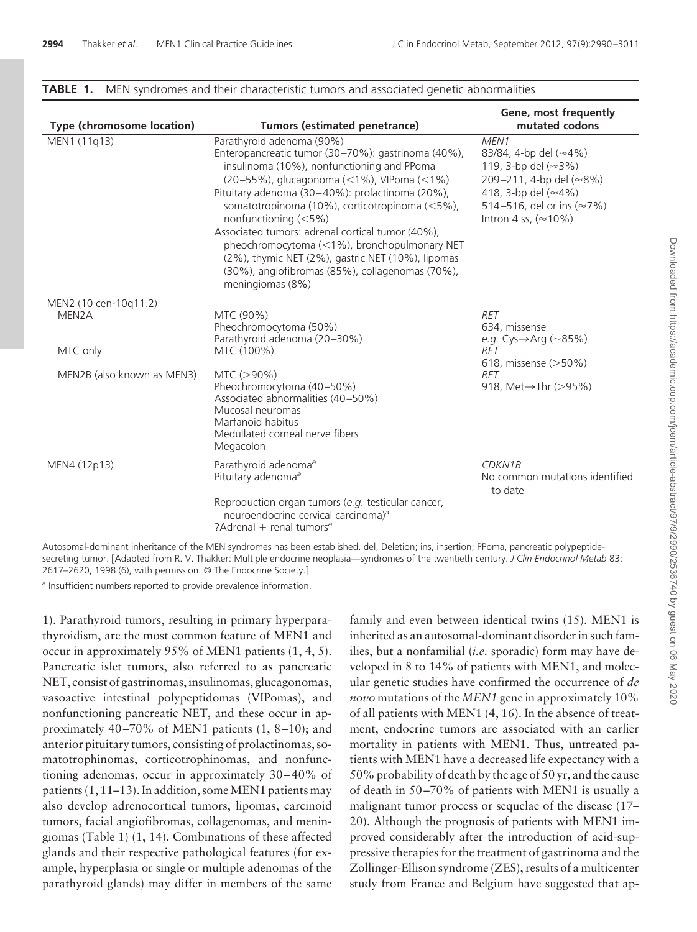| Type (chromosome location) | <b>Tumors (estimated penetrance)</b>                                                                                                                                                                                                                                                                                                                                                                                                                                                                                                    | Gene, most frequently<br>mutated codons                                                                                                                       |  |
|----------------------------|-----------------------------------------------------------------------------------------------------------------------------------------------------------------------------------------------------------------------------------------------------------------------------------------------------------------------------------------------------------------------------------------------------------------------------------------------------------------------------------------------------------------------------------------|---------------------------------------------------------------------------------------------------------------------------------------------------------------|--|
| MEN1 (11q13)               | Parathyroid adenoma (90%)<br>Enteropancreatic tumor (30-70%): gastrinoma (40%),<br>insulinoma (10%), nonfunctioning and PPoma<br>(20-55%), glucagonoma (<1%), VIPoma (<1%)<br>Pituitary adenoma (30-40%): prolactinoma (20%),<br>somatotropinoma (10%), corticotropinoma (<5%),<br>nonfunctioning (<5%)<br>Associated tumors: adrenal cortical tumor (40%),<br>pheochromocytoma (<1%), bronchopulmonary NET<br>(2%), thymic NET (2%), gastric NET (10%), lipomas<br>(30%), angiofibromas (85%), collagenomas (70%),<br>meningiomas (8%) | MEN1<br>83/84, 4-bp del (≈4%)<br>119, 3-bp del (≈3%)<br>209-211, 4-bp del (≈8%)<br>418, 3-bp del (≈4%)<br>514-516, del or ins (≈7%)<br>Intron 4 ss, $(*10\%)$ |  |
| MEN2 (10 cen-10q11.2)      |                                                                                                                                                                                                                                                                                                                                                                                                                                                                                                                                         |                                                                                                                                                               |  |
| MEN2A<br>MTC only          | MTC (90%)<br>Pheochromocytoma (50%)<br>Parathyroid adenoma (20-30%)<br>MTC (100%)                                                                                                                                                                                                                                                                                                                                                                                                                                                       | <b>RET</b><br>634, missense<br>e.g. Cys $\rightarrow$ Arg (~85%)<br>RET                                                                                       |  |
| MEN2B (also known as MEN3) | $MTC (> 90\%)$<br>Pheochromocytoma (40-50%)<br>Associated abnormalities (40-50%)<br>Mucosal neuromas                                                                                                                                                                                                                                                                                                                                                                                                                                    | 618, missense (>50%)<br><b>RET</b><br>918, Met→Thr (>95%)                                                                                                     |  |
|                            | Marfanoid habitus<br>Medullated corneal nerve fibers<br>Megacolon                                                                                                                                                                                                                                                                                                                                                                                                                                                                       |                                                                                                                                                               |  |
| MEN4 (12p13)               | Parathyroid adenoma <sup>a</sup><br>Pituitary adenoma <sup>a</sup>                                                                                                                                                                                                                                                                                                                                                                                                                                                                      | <b>CDKN1B</b><br>No common mutations identified<br>to date                                                                                                    |  |
|                            | Reproduction organ tumors (e.g. testicular cancer,<br>neuroendocrine cervical carcinoma) <sup>a</sup><br>?Adrenal + renal tumors <sup>a</sup>                                                                                                                                                                                                                                                                                                                                                                                           |                                                                                                                                                               |  |

### **TABLE 1.** MEN syndromes and their characteristic tumors and associated genetic abnormalities

Autosomal-dominant inheritance of the MEN syndromes has been established. del, Deletion; ins, insertion; PPoma, pancreatic polypeptidesecreting tumor. [Adapted from R. V. Thakker: Multiple endocrine neoplasia—syndromes of the twentieth century. *J Clin Endocrinol Metab* 83: 2617–2620, 1998 (6), with permission. © The Endocrine Society.

*<sup>a</sup>* Insufficient numbers reported to provide prevalence information.

1). Parathyroid tumors, resulting in primary hyperparathyroidism, are the most common feature of MEN1 and occur in approximately 95% of MEN1 patients (1, 4, 5). Pancreatic islet tumors, also referred to as pancreatic NET, consist of gastrinomas, insulinomas, glucagonomas, vasoactive intestinal polypeptidomas (VIPomas), and nonfunctioning pancreatic NET, and these occur in approximately 40-70% of MEN1 patients  $(1, 8-10)$ ; and anterior pituitary tumors, consisting of prolactinomas, somatotrophinomas, corticotrophinomas, and nonfunctioning adenomas, occur in approximately 30 – 40% of patients  $(1, 11-13)$ . In addition, some MEN1 patients may also develop adrenocortical tumors, lipomas, carcinoid tumors, facial angiofibromas, collagenomas, and meningiomas (Table 1) (1, 14). Combinations of these affected glands and their respective pathological features (for example, hyperplasia or single or multiple adenomas of the parathyroid glands) may differ in members of the same

family and even between identical twins (15). MEN1 is inherited as an autosomal-dominant disorder in such families, but a nonfamilial (*i.e.* sporadic) form may have developed in 8 to 14% of patients with MEN1, and molecular genetic studies have confirmed the occurrence of *de novo* mutations of the *MEN1* gene in approximately 10% of all patients with MEN1 (4, 16). In the absence of treatment, endocrine tumors are associated with an earlier mortality in patients with MEN1. Thus, untreated patients with MEN1 have a decreased life expectancy with a 50% probability of death by the age of 50 yr, and the cause of death in 50 –70% of patients with MEN1 is usually a malignant tumor process or sequelae of the disease (17– 20). Although the prognosis of patients with MEN1 improved considerably after the introduction of acid-suppressive therapies for the treatment of gastrinoma and the Zollinger-Ellison syndrome (ZES), results of a multicenter study from France and Belgium have suggested that ap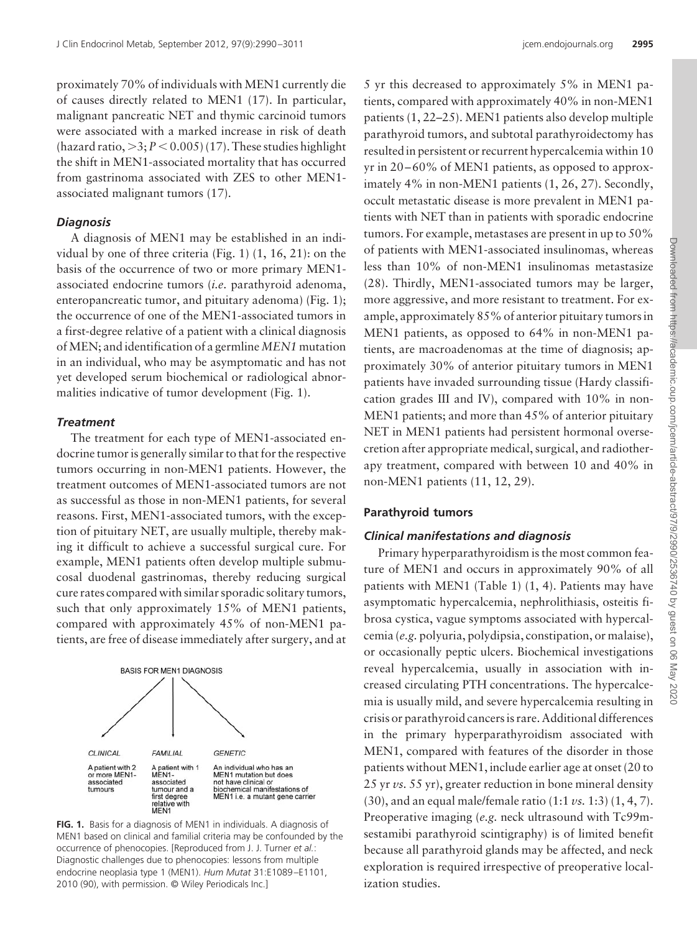proximately 70% of individuals with MEN1 currently die of causes directly related to MEN1 (17). In particular, malignant pancreatic NET and thymic carcinoid tumors were associated with a marked increase in risk of death (hazard ratio,  $>$ 3;  $P$  < 0.005) (17). These studies highlight the shift in MEN1-associated mortality that has occurred from gastrinoma associated with ZES to other MEN1 associated malignant tumors (17).

### *Diagnosis*

A diagnosis of MEN1 may be established in an individual by one of three criteria (Fig. 1) (1, 16, 21): on the basis of the occurrence of two or more primary MEN1 associated endocrine tumors (*i.e.* parathyroid adenoma, enteropancreatic tumor, and pituitary adenoma) (Fig. 1); the occurrence of one of the MEN1-associated tumors in a first-degree relative of a patient with a clinical diagnosis ofMEN; and identification of a germline *MEN1* mutation in an individual, who may be asymptomatic and has not yet developed serum biochemical or radiological abnormalities indicative of tumor development (Fig. 1).

#### *Treatment*

The treatment for each type of MEN1-associated endocrine tumor is generally similar to that for the respective tumors occurring in non-MEN1 patients. However, the treatment outcomes of MEN1-associated tumors are not as successful as those in non-MEN1 patients, for several reasons. First, MEN1-associated tumors, with the exception of pituitary NET, are usually multiple, thereby making it difficult to achieve a successful surgical cure. For example, MEN1 patients often develop multiple submucosal duodenal gastrinomas, thereby reducing surgical cure rates compared with similar sporadic solitary tumors, such that only approximately 15% of MEN1 patients, compared with approximately 45% of non-MEN1 patients, are free of disease immediately after surgery, and at



**FIG. 1.** Basis for a diagnosis of MEN1 in individuals. A diagnosis of MEN1 based on clinical and familial criteria may be confounded by the occurrence of phenocopies. [Reproduced from J. J. Turner *et al.*: Diagnostic challenges due to phenocopies: lessons from multiple endocrine neoplasia type 1 (MEN1). *Hum Mutat* 31:E1089 –E1101, 2010 (90), with permission. © Wiley Periodicals Inc.]

5 yr this decreased to approximately 5% in MEN1 patients, compared with approximately 40% in non-MEN1 patients (1, 22–25). MEN1 patients also develop multiple parathyroid tumors, and subtotal parathyroidectomy has resulted in persistent or recurrent hypercalcemia within 10 yr in 20 – 60% of MEN1 patients, as opposed to approximately 4% in non-MEN1 patients (1, 26, 27). Secondly, occult metastatic disease is more prevalent in MEN1 patients with NET than in patients with sporadic endocrine tumors. For example, metastases are present in up to 50% of patients with MEN1-associated insulinomas, whereas less than 10% of non-MEN1 insulinomas metastasize (28). Thirdly, MEN1-associated tumors may be larger, more aggressive, and more resistant to treatment. For example, approximately 85% of anterior pituitary tumors in MEN1 patients, as opposed to 64% in non-MEN1 patients, are macroadenomas at the time of diagnosis; approximately 30% of anterior pituitary tumors in MEN1 patients have invaded surrounding tissue (Hardy classification grades III and IV), compared with 10% in non-MEN1 patients; and more than 45% of anterior pituitary NET in MEN1 patients had persistent hormonal oversecretion after appropriate medical, surgical, and radiotherapy treatment, compared with between 10 and 40% in non-MEN1 patients (11, 12, 29).

# **Parathyroid tumors**

#### *Clinical manifestations and diagnosis*

Primary hyperparathyroidism is the most common feature of MEN1 and occurs in approximately 90% of all patients with MEN1 (Table 1) (1, 4). Patients may have asymptomatic hypercalcemia, nephrolithiasis, osteitis fibrosa cystica, vague symptoms associated with hypercalcemia (*e.g.* polyuria, polydipsia, constipation, or malaise), or occasionally peptic ulcers. Biochemical investigations reveal hypercalcemia, usually in association with increased circulating PTH concentrations. The hypercalcemia is usually mild, and severe hypercalcemia resulting in crisis or parathyroid cancers is rare. Additional differences in the primary hyperparathyroidism associated with MEN1, compared with features of the disorder in those patients without MEN1, include earlier age at onset (20 to 25 yr *vs.* 55 yr), greater reduction in bone mineral density (30), and an equal male/female ratio (1:1 *vs.* 1:3) (1, 4, 7). Preoperative imaging (*e.g.* neck ultrasound with Tc99msestamibi parathyroid scintigraphy) is of limited benefit because all parathyroid glands may be affected, and neck exploration is required irrespective of preoperative localization studies.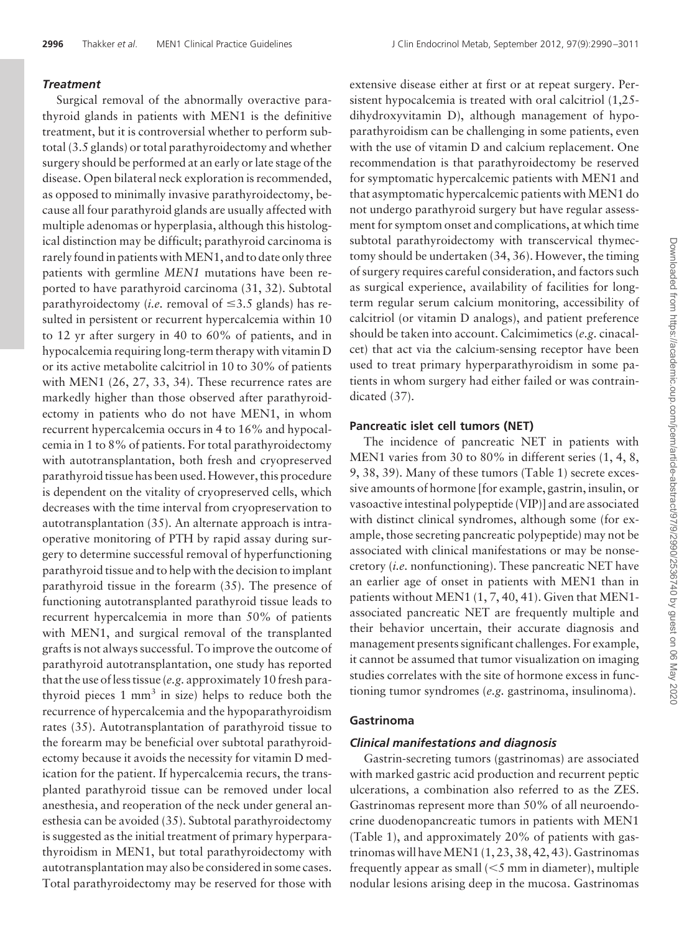# *Treatment*

Surgical removal of the abnormally overactive parathyroid glands in patients with MEN1 is the definitive treatment, but it is controversial whether to perform subtotal (3.5 glands) or total parathyroidectomy and whether surgery should be performed at an early or late stage of the disease. Open bilateral neck exploration is recommended, as opposed to minimally invasive parathyroidectomy, because all four parathyroid glands are usually affected with multiple adenomas or hyperplasia, although this histological distinction may be difficult; parathyroid carcinoma is rarely found in patients with MEN1, and to date only three patients with germline *MEN1* mutations have been reported to have parathyroid carcinoma (31, 32). Subtotal parathyroidectomy (*i.e.* removal of  $\leq$ 3.5 glands) has resulted in persistent or recurrent hypercalcemia within 10 to 12 yr after surgery in 40 to 60% of patients, and in hypocalcemia requiring long-term therapy with vitamin D or its active metabolite calcitriol in 10 to 30% of patients with MEN1 (26, 27, 33, 34). These recurrence rates are markedly higher than those observed after parathyroidectomy in patients who do not have MEN1, in whom recurrent hypercalcemia occurs in 4 to 16% and hypocalcemia in 1 to 8% of patients. For total parathyroidectomy with autotransplantation, both fresh and cryopreserved parathyroid tissue has been used. However, this procedure is dependent on the vitality of cryopreserved cells, which decreases with the time interval from cryopreservation to autotransplantation (35). An alternate approach is intraoperative monitoring of PTH by rapid assay during surgery to determine successful removal of hyperfunctioning parathyroid tissue and to help with the decision to implant parathyroid tissue in the forearm (35). The presence of functioning autotransplanted parathyroid tissue leads to recurrent hypercalcemia in more than 50% of patients with MEN1, and surgical removal of the transplanted grafts is not always successful. To improve the outcome of parathyroid autotransplantation, one study has reported that the use of less tissue (*e.g.* approximately 10 fresh parathyroid pieces  $1 \text{ mm}^3$  in size) helps to reduce both the recurrence of hypercalcemia and the hypoparathyroidism rates (35). Autotransplantation of parathyroid tissue to the forearm may be beneficial over subtotal parathyroidectomy because it avoids the necessity for vitamin D medication for the patient. If hypercalcemia recurs, the transplanted parathyroid tissue can be removed under local anesthesia, and reoperation of the neck under general anesthesia can be avoided (35). Subtotal parathyroidectomy is suggested as the initial treatment of primary hyperparathyroidism in MEN1, but total parathyroidectomy with autotransplantation may also be considered in some cases. Total parathyroidectomy may be reserved for those with extensive disease either at first or at repeat surgery. Persistent hypocalcemia is treated with oral calcitriol (1,25 dihydroxyvitamin D), although management of hypoparathyroidism can be challenging in some patients, even with the use of vitamin D and calcium replacement. One recommendation is that parathyroidectomy be reserved for symptomatic hypercalcemic patients with MEN1 and that asymptomatic hypercalcemic patients with MEN1 do not undergo parathyroid surgery but have regular assessment for symptom onset and complications, at which time subtotal parathyroidectomy with transcervical thymectomy should be undertaken (34, 36). However, the timing of surgery requires careful consideration, and factors such as surgical experience, availability of facilities for longterm regular serum calcium monitoring, accessibility of calcitriol (or vitamin D analogs), and patient preference should be taken into account. Calcimimetics (*e.g.* cinacalcet) that act via the calcium-sensing receptor have been used to treat primary hyperparathyroidism in some patients in whom surgery had either failed or was contraindicated (37).

# **Pancreatic islet cell tumors (NET)**

The incidence of pancreatic NET in patients with MEN1 varies from 30 to 80% in different series (1, 4, 8, 9, 38, 39). Many of these tumors (Table 1) secrete excessive amounts of hormone [for example, gastrin, insulin, or vasoactive intestinal polypeptide (VIP)] and are associated with distinct clinical syndromes, although some (for example, those secreting pancreatic polypeptide) may not be associated with clinical manifestations or may be nonsecretory (*i.e.* nonfunctioning). These pancreatic NET have an earlier age of onset in patients with MEN1 than in patients without MEN1 (1, 7, 40, 41). Given that MEN1 associated pancreatic NET are frequently multiple and their behavior uncertain, their accurate diagnosis and management presents significant challenges. For example, it cannot be assumed that tumor visualization on imaging studies correlates with the site of hormone excess in functioning tumor syndromes (*e.g.* gastrinoma, insulinoma).

# **Gastrinoma**

### *Clinical manifestations and diagnosis*

Gastrin-secreting tumors (gastrinomas) are associated with marked gastric acid production and recurrent peptic ulcerations, a combination also referred to as the ZES. Gastrinomas represent more than 50% of all neuroendocrine duodenopancreatic tumors in patients with MEN1 (Table 1), and approximately 20% of patients with gastrinomas will have MEN1  $(1, 23, 38, 42, 43)$ . Gastrinomas frequently appear as small  $(< 5$  mm in diameter), multiple nodular lesions arising deep in the mucosa. Gastrinomas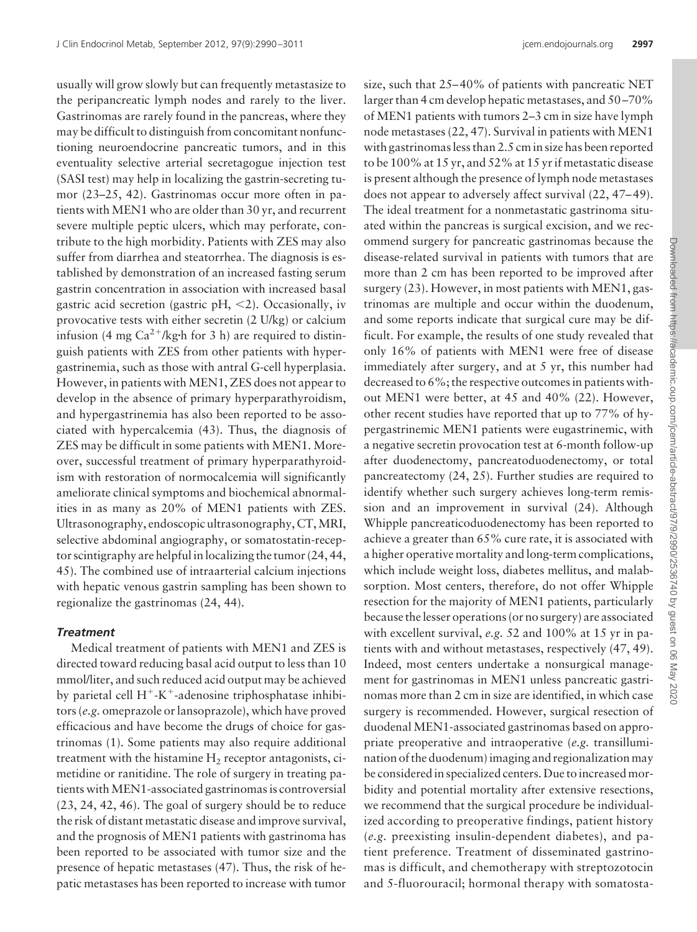usually will grow slowly but can frequently metastasize to the peripancreatic lymph nodes and rarely to the liver. Gastrinomas are rarely found in the pancreas, where they may be difficult to distinguish from concomitant nonfunctioning neuroendocrine pancreatic tumors, and in this eventuality selective arterial secretagogue injection test (SASI test) may help in localizing the gastrin-secreting tumor (23–25, 42). Gastrinomas occur more often in patients with MEN1 who are older than 30 yr, and recurrent severe multiple peptic ulcers, which may perforate, contribute to the high morbidity. Patients with ZES may also suffer from diarrhea and steatorrhea. The diagnosis is established by demonstration of an increased fasting serum gastrin concentration in association with increased basal gastric acid secretion (gastric pH, <2). Occasionally, iv provocative tests with either secretin (2 U/kg) or calcium infusion (4 mg  $Ca^{2+}/kg$  h for 3 h) are required to distinguish patients with ZES from other patients with hypergastrinemia, such as those with antral G-cell hyperplasia. However, in patients with MEN1, ZES does not appear to develop in the absence of primary hyperparathyroidism, and hypergastrinemia has also been reported to be associated with hypercalcemia (43). Thus, the diagnosis of ZES may be difficult in some patients with MEN1. Moreover, successful treatment of primary hyperparathyroidism with restoration of normocalcemia will significantly ameliorate clinical symptoms and biochemical abnormalities in as many as 20% of MEN1 patients with ZES. Ultrasonography, endoscopic ultrasonography, CT,MRI, selective abdominal angiography, or somatostatin-receptor scintigraphy are helpful in localizing the tumor (24, 44, 45). The combined use of intraarterial calcium injections with hepatic venous gastrin sampling has been shown to regionalize the gastrinomas (24, 44).

# *Treatment*

Medical treatment of patients with MEN1 and ZES is directed toward reducing basal acid output to less than 10 mmol/liter, and such reduced acid output may be achieved by parietal cell  $H^+$ -K<sup>+</sup>-adenosine triphosphatase inhibitors (*e.g.* omeprazole or lansoprazole), which have proved efficacious and have become the drugs of choice for gastrinomas (1). Some patients may also require additional treatment with the histamine  $H_2$  receptor antagonists, cimetidine or ranitidine. The role of surgery in treating patients with MEN1-associated gastrinomas is controversial (23, 24, 42, 46). The goal of surgery should be to reduce the risk of distant metastatic disease and improve survival, and the prognosis of MEN1 patients with gastrinoma has been reported to be associated with tumor size and the presence of hepatic metastases (47). Thus, the risk of hepatic metastases has been reported to increase with tumor

size, such that 25–40% of patients with pancreatic NET larger than 4 cm develop hepatic metastases, and 50 –70% of MEN1 patients with tumors 2–3 cm in size have lymph node metastases (22, 47). Survival in patients with MEN1 with gastrinomas less than 2.5 cm in size has been reported to be 100% at 15 yr, and 52% at 15 yr if metastatic disease is present although the presence of lymph node metastases does not appear to adversely affect survival (22, 47–49). The ideal treatment for a nonmetastatic gastrinoma situated within the pancreas is surgical excision, and we recommend surgery for pancreatic gastrinomas because the disease-related survival in patients with tumors that are more than 2 cm has been reported to be improved after surgery (23). However, in most patients with MEN1, gastrinomas are multiple and occur within the duodenum, and some reports indicate that surgical cure may be difficult. For example, the results of one study revealed that only 16% of patients with MEN1 were free of disease immediately after surgery, and at 5 yr, this number had decreased to 6%; the respective outcomes in patients without MEN1 were better, at 45 and 40% (22). However, other recent studies have reported that up to 77% of hypergastrinemic MEN1 patients were eugastrinemic, with a negative secretin provocation test at 6-month follow-up after duodenectomy, pancreatoduodenectomy, or total pancreatectomy (24, 25). Further studies are required to identify whether such surgery achieves long-term remission and an improvement in survival (24). Although Whipple pancreaticoduodenectomy has been reported to achieve a greater than 65% cure rate, it is associated with a higher operative mortality and long-term complications, which include weight loss, diabetes mellitus, and malabsorption. Most centers, therefore, do not offer Whipple resection for the majority of MEN1 patients, particularly because the lesser operations (or no surgery) are associated with excellent survival, *e.g.* 52 and 100% at 15 yr in patients with and without metastases, respectively (47, 49). Indeed, most centers undertake a nonsurgical management for gastrinomas in MEN1 unless pancreatic gastrinomas more than 2 cm in size are identified, in which case surgery is recommended. However, surgical resection of duodenal MEN1-associated gastrinomas based on appropriate preoperative and intraoperative (*e.g.* transillumination of the duodenum) imaging and regionalization may be considered in specialized centers. Due to increased morbidity and potential mortality after extensive resections, we recommend that the surgical procedure be individualized according to preoperative findings, patient history (*e.g.* preexisting insulin-dependent diabetes), and patient preference. Treatment of disseminated gastrinomas is difficult, and chemotherapy with streptozotocin and 5-fluorouracil; hormonal therapy with somatosta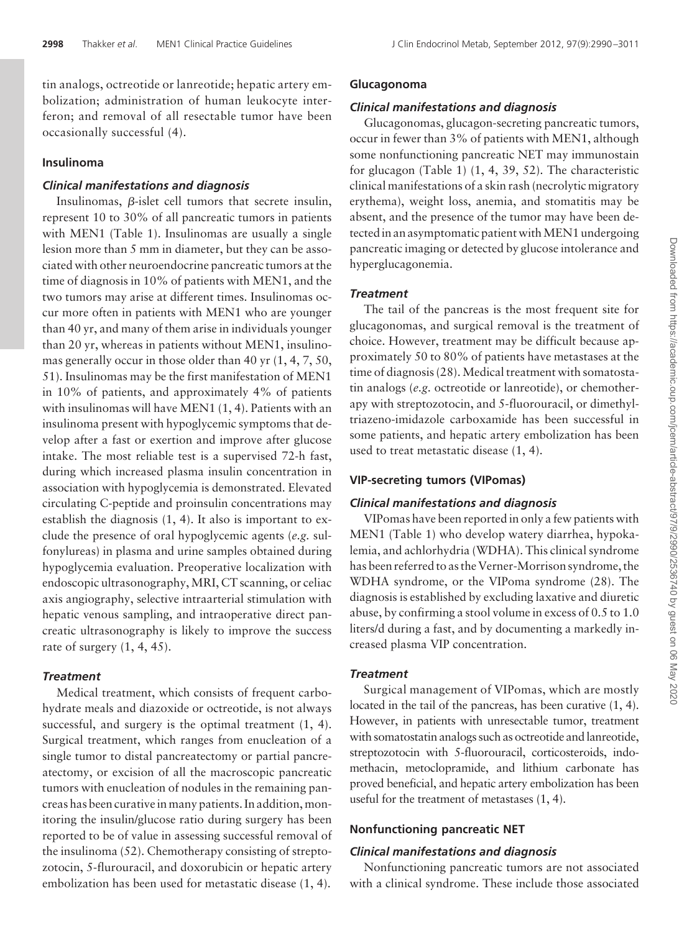tin analogs, octreotide or lanreotide; hepatic artery embolization; administration of human leukocyte interferon; and removal of all resectable tumor have been occasionally successful (4).

# **Insulinoma**

# *Clinical manifestations and diagnosis*

Insulinomas,  $\beta$ -islet cell tumors that secrete insulin, represent 10 to 30% of all pancreatic tumors in patients with MEN1 (Table 1). Insulinomas are usually a single lesion more than 5 mm in diameter, but they can be associated with other neuroendocrine pancreatic tumors at the time of diagnosis in 10% of patients with MEN1, and the two tumors may arise at different times. Insulinomas occur more often in patients with MEN1 who are younger than 40 yr, and many of them arise in individuals younger than 20 yr, whereas in patients without MEN1, insulinomas generally occur in those older than 40 yr (1, 4, 7, 50, 51). Insulinomas may be the first manifestation of MEN1 in 10% of patients, and approximately 4% of patients with insulinomas will have MEN1 (1, 4). Patients with an insulinoma present with hypoglycemic symptoms that develop after a fast or exertion and improve after glucose intake. The most reliable test is a supervised 72-h fast, during which increased plasma insulin concentration in association with hypoglycemia is demonstrated. Elevated circulating C-peptide and proinsulin concentrations may establish the diagnosis (1, 4). It also is important to exclude the presence of oral hypoglycemic agents (*e.g.* sulfonylureas) in plasma and urine samples obtained during hypoglycemia evaluation. Preoperative localization with endoscopic ultrasonography, MRI, CT scanning, or celiac axis angiography, selective intraarterial stimulation with hepatic venous sampling, and intraoperative direct pancreatic ultrasonography is likely to improve the success rate of surgery  $(1, 4, 45)$ .

# *Treatment*

Medical treatment, which consists of frequent carbohydrate meals and diazoxide or octreotide, is not always successful, and surgery is the optimal treatment  $(1, 4)$ . Surgical treatment, which ranges from enucleation of a single tumor to distal pancreatectomy or partial pancreatectomy, or excision of all the macroscopic pancreatic tumors with enucleation of nodules in the remaining pancreas has been curative in many patients. In addition, monitoring the insulin/glucose ratio during surgery has been reported to be of value in assessing successful removal of the insulinoma (52). Chemotherapy consisting of streptozotocin, 5-flurouracil, and doxorubicin or hepatic artery embolization has been used for metastatic disease (1, 4).

#### **Glucagonoma**

# *Clinical manifestations and diagnosis*

Glucagonomas, glucagon-secreting pancreatic tumors, occur in fewer than 3% of patients with MEN1, although some nonfunctioning pancreatic NET may immunostain for glucagon (Table 1) (1, 4, 39, 52). The characteristic clinical manifestations of a skin rash (necrolytic migratory erythema), weight loss, anemia, and stomatitis may be absent, and the presence of the tumor may have been detected in an asymptomatic patient with MEN1 undergoing pancreatic imaging or detected by glucose intolerance and hyperglucagonemia.

#### *Treatment*

The tail of the pancreas is the most frequent site for glucagonomas, and surgical removal is the treatment of choice. However, treatment may be difficult because approximately 50 to 80% of patients have metastases at the time of diagnosis (28). Medical treatment with somatostatin analogs (*e.g.* octreotide or lanreotide), or chemotherapy with streptozotocin, and 5-fluorouracil, or dimethyltriazeno-imidazole carboxamide has been successful in some patients, and hepatic artery embolization has been used to treat metastatic disease (1, 4).

# **VIP-secreting tumors (VIPomas)**

# *Clinical manifestations and diagnosis*

VIPomas have been reported in only a few patients with MEN1 (Table 1) who develop watery diarrhea, hypokalemia, and achlorhydria (WDHA). This clinical syndrome has been referred to as the Verner-Morrison syndrome, the WDHA syndrome, or the VIPoma syndrome (28). The diagnosis is established by excluding laxative and diuretic abuse, by confirming a stool volume in excess of 0.5 to 1.0 liters/d during a fast, and by documenting a markedly increased plasma VIP concentration.

# *Treatment*

Surgical management of VIPomas, which are mostly located in the tail of the pancreas, has been curative (1, 4). However, in patients with unresectable tumor, treatment with somatostatin analogs such as octreotide and lanreotide, streptozotocin with 5-fluorouracil, corticosteroids, indomethacin, metoclopramide, and lithium carbonate has proved beneficial, and hepatic artery embolization has been useful for the treatment of metastases (1, 4).

#### **Nonfunctioning pancreatic NET**

# *Clinical manifestations and diagnosis*

Nonfunctioning pancreatic tumors are not associated with a clinical syndrome. These include those associated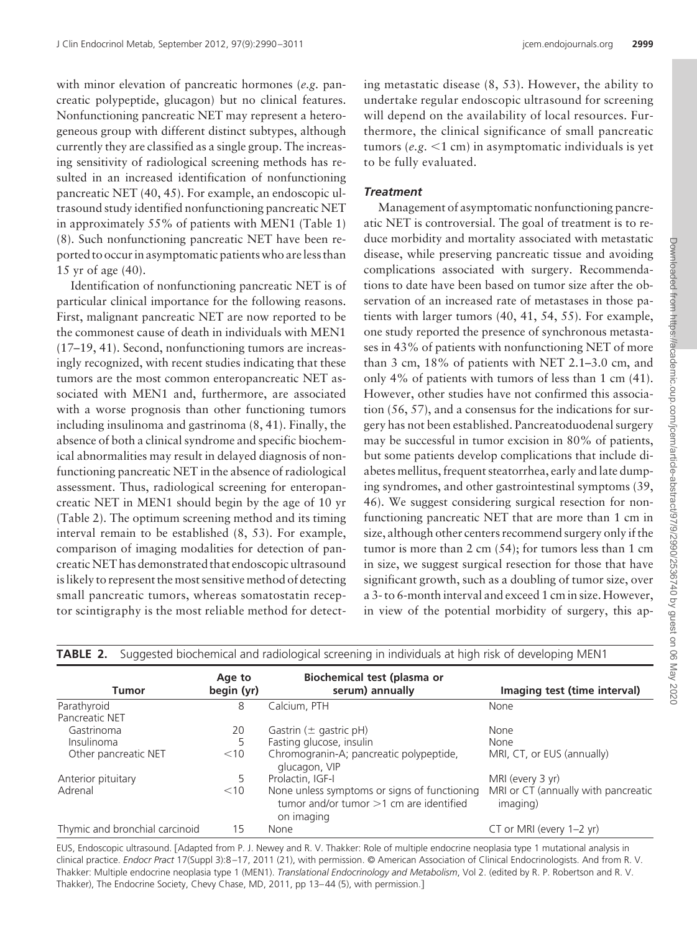with minor elevation of pancreatic hormones (*e.g.* pancreatic polypeptide, glucagon) but no clinical features. Nonfunctioning pancreatic NET may represent a heterogeneous group with different distinct subtypes, although currently they are classified as a single group. The increasing sensitivity of radiological screening methods has resulted in an increased identification of nonfunctioning pancreatic NET (40, 45). For example, an endoscopic ultrasound study identified nonfunctioning pancreatic NET in approximately 55% of patients with MEN1 (Table 1) (8). Such nonfunctioning pancreatic NET have been reported to occurin asymptomatic patients who areless than 15 yr of age (40).

Identification of nonfunctioning pancreatic NET is of particular clinical importance for the following reasons. First, malignant pancreatic NET are now reported to be the commonest cause of death in individuals with MEN1 (17–19, 41). Second, nonfunctioning tumors are increasingly recognized, with recent studies indicating that these tumors are the most common enteropancreatic NET associated with MEN1 and, furthermore, are associated with a worse prognosis than other functioning tumors including insulinoma and gastrinoma (8, 41). Finally, the absence of both a clinical syndrome and specific biochemical abnormalities may result in delayed diagnosis of nonfunctioning pancreatic NET in the absence of radiological assessment. Thus, radiological screening for enteropancreatic NET in MEN1 should begin by the age of 10 yr (Table 2). The optimum screening method and its timing interval remain to be established (8, 53). For example, comparison of imaging modalities for detection of pancreatic NET has demonstrated that endoscopic ultrasound is likely to represent the most sensitive method of detecting small pancreatic tumors, whereas somatostatin receptor scintigraphy is the most reliable method for detect-

ing metastatic disease (8, 53). However, the ability to undertake regular endoscopic ultrasound for screening will depend on the availability of local resources. Furthermore, the clinical significance of small pancreatic tumors (*e.g.* -1 cm) in asymptomatic individuals is yet to be fully evaluated.

### *Treatment*

Management of asymptomatic nonfunctioning pancreatic NET is controversial. The goal of treatment is to reduce morbidity and mortality associated with metastatic disease, while preserving pancreatic tissue and avoiding complications associated with surgery. Recommendations to date have been based on tumor size after the observation of an increased rate of metastases in those patients with larger tumors (40, 41, 54, 55). For example, one study reported the presence of synchronous metastases in 43% of patients with nonfunctioning NET of more than 3 cm, 18% of patients with NET 2.1–3.0 cm, and only 4% of patients with tumors of less than 1 cm (41). However, other studies have not confirmed this association (56, 57), and a consensus for the indications for surgery has not been established. Pancreatoduodenal surgery may be successful in tumor excision in 80% of patients, but some patients develop complications that include diabetes mellitus, frequent steatorrhea, early and late dumping syndromes, and other gastrointestinal symptoms (39, 46). We suggest considering surgical resection for nonfunctioning pancreatic NET that are more than 1 cm in size, although other centers recommend surgery only if the tumor is more than 2 cm (54); for tumors less than 1 cm in size, we suggest surgical resection for those that have significant growth, such as a doubling of tumor size, over a 3- to 6-month interval and exceed 1 cm in size. However, in view of the potential morbidity of surgery, this ap-

| <b>TABLE 2.</b> Suggested biochemical and radiological screening in individuals at high risk of developing MEN1 |                      |                                                                                                         |                                                 |  |  |
|-----------------------------------------------------------------------------------------------------------------|----------------------|---------------------------------------------------------------------------------------------------------|-------------------------------------------------|--|--|
| <b>Tumor</b>                                                                                                    | Age to<br>begin (yr) | Biochemical test (plasma or<br>serum) annually                                                          | Imaging test (time interval)                    |  |  |
| Parathyroid                                                                                                     | 8                    | Calcium, PTH                                                                                            | None                                            |  |  |
| Pancreatic NET                                                                                                  |                      |                                                                                                         |                                                 |  |  |
| Gastrinoma                                                                                                      | 20                   | Gastrin $(\pm$ gastric pH)                                                                              | None                                            |  |  |
| Insulinoma                                                                                                      | 5                    | Fasting glucose, insulin                                                                                | <b>None</b>                                     |  |  |
| Other pancreatic NET                                                                                            | $<$ 10               | Chromogranin-A; pancreatic polypeptide,<br>glucagon, VIP                                                | MRI, CT, or EUS (annually)                      |  |  |
| Anterior pituitary                                                                                              | 5                    | Prolactin, IGF-I                                                                                        | MRI (every 3 yr)                                |  |  |
| Adrenal                                                                                                         | $<$ 10               | None unless symptoms or signs of functioning<br>tumor and/or tumor $>1$ cm are identified<br>on imaging | MRI or CT (annually with pancreatic<br>imaging) |  |  |
| Thymic and bronchial carcinoid                                                                                  | 15                   | None                                                                                                    | CT or MRI (every 1-2 yr)                        |  |  |

EUS, Endoscopic ultrasound. [Adapted from P. J. Newey and R. V. Thakker: Role of multiple endocrine neoplasia type 1 mutational analysis in clinical practice. *Endocr Pract* 17(Suppl 3):8 –17, 2011 (21), with permission. © American Association of Clinical Endocrinologists. And from R. V. Thakker: Multiple endocrine neoplasia type 1 (MEN1). *Translational Endocrinology and Metabolism*, Vol 2. (edited by R. P. Robertson and R. V. Thakker), The Endocrine Society, Chevy Chase, MD, 2011, pp 13-44 (5), with permission.]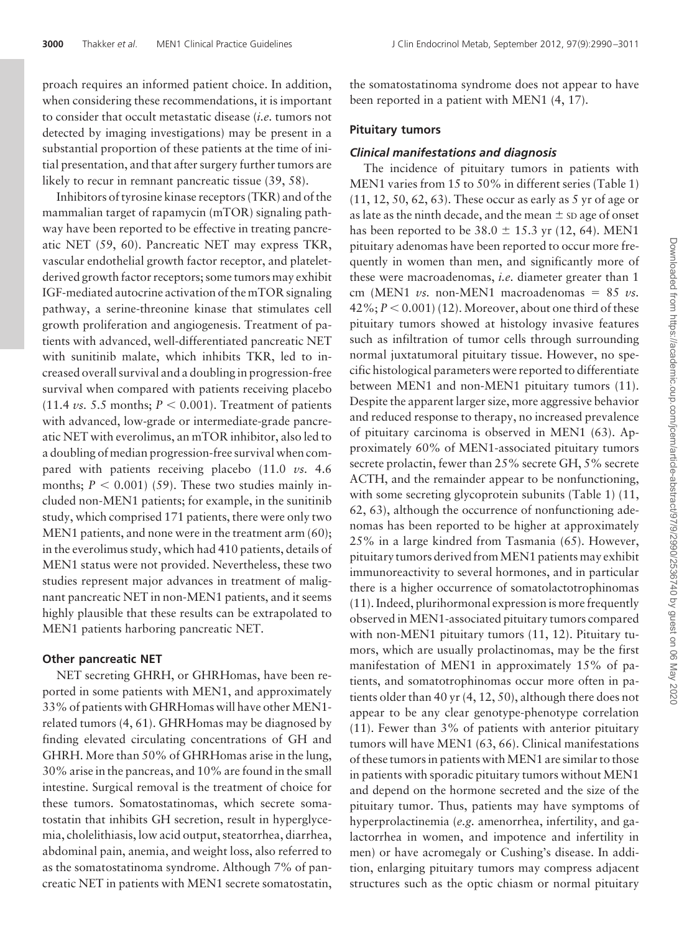proach requires an informed patient choice. In addition, when considering these recommendations, it is important to consider that occult metastatic disease (*i.e.* tumors not detected by imaging investigations) may be present in a substantial proportion of these patients at the time of initial presentation, and that after surgery further tumors are likely to recur in remnant pancreatic tissue (39, 58).

Inhibitors of tyrosine kinase receptors (TKR) and of the mammalian target of rapamycin (mTOR) signaling pathway have been reported to be effective in treating pancreatic NET (59, 60). Pancreatic NET may express TKR, vascular endothelial growth factor receptor, and plateletderived growth factor receptors; some tumors may exhibit IGF-mediated autocrine activation of the mTOR signaling pathway, a serine-threonine kinase that stimulates cell growth proliferation and angiogenesis. Treatment of patients with advanced, well-differentiated pancreatic NET with sunitinib malate, which inhibits TKR, led to increased overall survival and a doubling in progression-free survival when compared with patients receiving placebo  $(11.4 \text{ vs. } 5.5 \text{ months}; P < 0.001)$ . Treatment of patients with advanced, low-grade or intermediate-grade pancreatic NET with everolimus, an mTOR inhibitor, also led to a doubling of median progression-free survival when compared with patients receiving placebo (11.0 *vs.* 4.6 months;  $P < 0.001$ ) (59). These two studies mainly included non-MEN1 patients; for example, in the sunitinib study, which comprised 171 patients, there were only two MEN1 patients, and none were in the treatment arm (60); in the everolimus study, which had 410 patients, details of MEN1 status were not provided. Nevertheless, these two studies represent major advances in treatment of malignant pancreatic NET in non-MEN1 patients, and it seems highly plausible that these results can be extrapolated to MEN1 patients harboring pancreatic NET.

### **Other pancreatic NET**

NET secreting GHRH, or GHRHomas, have been reported in some patients with MEN1, and approximately 33% of patients with GHRHomas will have other MEN1related tumors (4, 61). GHRHomas may be diagnosed by finding elevated circulating concentrations of GH and GHRH. More than 50% of GHRHomas arise in the lung, 30% arise in the pancreas, and 10% are found in the small intestine. Surgical removal is the treatment of choice for these tumors. Somatostatinomas, which secrete somatostatin that inhibits GH secretion, result in hyperglycemia, cholelithiasis, low acid output, steatorrhea, diarrhea, abdominal pain, anemia, and weight loss, also referred to as the somatostatinoma syndrome. Although 7% of pancreatic NET in patients with MEN1 secrete somatostatin, the somatostatinoma syndrome does not appear to have been reported in a patient with MEN1 (4, 17).

# **Pituitary tumors**

#### *Clinical manifestations and diagnosis*

The incidence of pituitary tumors in patients with MEN1 varies from 15 to 50% in different series (Table 1) (11, 12, 50, 62, 63). These occur as early as 5 yr of age or as late as the ninth decade, and the mean  $\pm$  sp age of onset has been reported to be  $38.0 \pm 15.3$  yr (12, 64). MEN1 pituitary adenomas have been reported to occur more frequently in women than men, and significantly more of these were macroadenomas, *i.e.* diameter greater than 1 cm (MEN1  $vs.$  non-MEN1 macroadenomas =  $85 vs.$ 42%;  $P < 0.001$ ) (12). Moreover, about one third of these pituitary tumors showed at histology invasive features such as infiltration of tumor cells through surrounding normal juxtatumoral pituitary tissue. However, no specific histological parameters were reported to differentiate between MEN1 and non-MEN1 pituitary tumors (11). Despite the apparent larger size, more aggressive behavior and reduced response to therapy, no increased prevalence of pituitary carcinoma is observed in MEN1 (63). Approximately 60% of MEN1-associated pituitary tumors secrete prolactin, fewer than 25% secrete GH, 5% secrete ACTH, and the remainder appear to be nonfunctioning, with some secreting glycoprotein subunits (Table 1) (11, 62, 63), although the occurrence of nonfunctioning adenomas has been reported to be higher at approximately 25% in a large kindred from Tasmania (65). However, pituitary tumors derived fromMEN1 patients may exhibit immunoreactivity to several hormones, and in particular there is a higher occurrence of somatolactotrophinomas (11). Indeed, plurihormonal expression is more frequently observed in MEN1-associated pituitary tumors compared with non-MEN1 pituitary tumors (11, 12). Pituitary tumors, which are usually prolactinomas, may be the first manifestation of MEN1 in approximately 15% of patients, and somatotrophinomas occur more often in patients older than 40 yr (4, 12, 50), although there does not appear to be any clear genotype-phenotype correlation (11). Fewer than 3% of patients with anterior pituitary tumors will have MEN1 (63, 66). Clinical manifestations of these tumors in patients with MEN1 are similar to those in patients with sporadic pituitary tumors without MEN1 and depend on the hormone secreted and the size of the pituitary tumor. Thus, patients may have symptoms of hyperprolactinemia (*e.g.* amenorrhea, infertility, and galactorrhea in women, and impotence and infertility in men) or have acromegaly or Cushing's disease. In addition, enlarging pituitary tumors may compress adjacent structures such as the optic chiasm or normal pituitary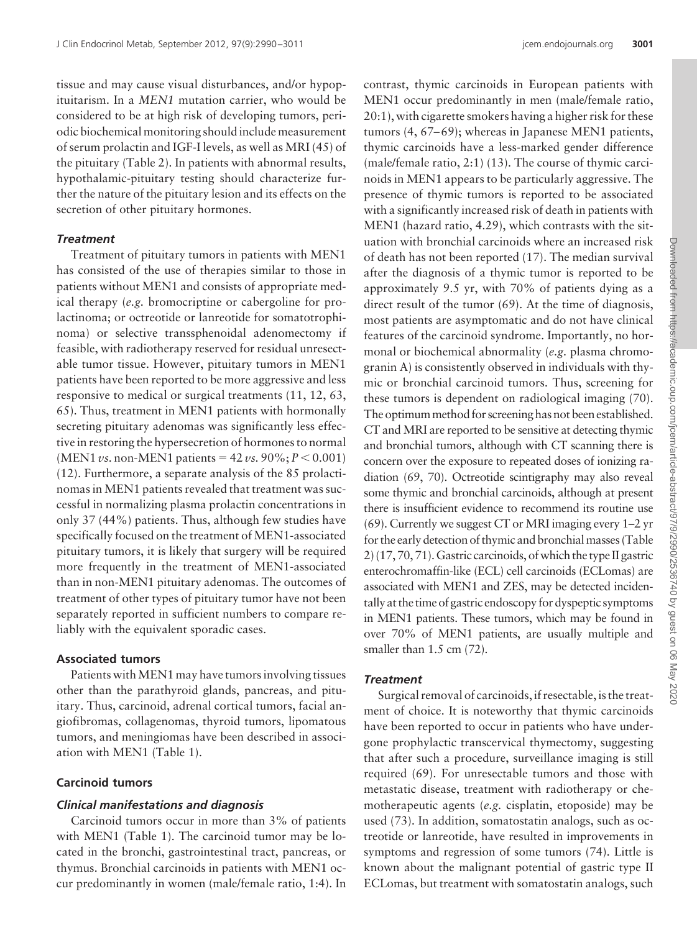tissue and may cause visual disturbances, and/or hypopituitarism. In a *MEN1* mutation carrier, who would be considered to be at high risk of developing tumors, periodic biochemical monitoring should include measurement of serum prolactin and IGF-I levels, as well as MRI (45) of the pituitary (Table 2). In patients with abnormal results, hypothalamic-pituitary testing should characterize further the nature of the pituitary lesion and its effects on the secretion of other pituitary hormones.

# *Treatment*

Treatment of pituitary tumors in patients with MEN1 has consisted of the use of therapies similar to those in patients without MEN1 and consists of appropriate medical therapy (*e.g.* bromocriptine or cabergoline for prolactinoma; or octreotide or lanreotide for somatotrophinoma) or selective transsphenoidal adenomectomy if feasible, with radiotherapy reserved for residual unresectable tumor tissue. However, pituitary tumors in MEN1 patients have been reported to be more aggressive and less responsive to medical or surgical treatments (11, 12, 63, 65). Thus, treatment in MEN1 patients with hormonally secreting pituitary adenomas was significantly less effective in restoring the hypersecretion of hormones to normal (MEN1 *vs.* non-MEN1 patients =  $42 \nu s$ . 90%;  $P < 0.001$ ) (12). Furthermore, a separate analysis of the 85 prolactinomas in MEN1 patients revealed that treatment was successful in normalizing plasma prolactin concentrations in only 37 (44%) patients. Thus, although few studies have specifically focused on the treatment of MEN1-associated pituitary tumors, it is likely that surgery will be required more frequently in the treatment of MEN1-associated than in non-MEN1 pituitary adenomas. The outcomes of treatment of other types of pituitary tumor have not been separately reported in sufficient numbers to compare reliably with the equivalent sporadic cases.

# **Associated tumors**

Patients with MEN1 may have tumors involving tissues other than the parathyroid glands, pancreas, and pituitary. Thus, carcinoid, adrenal cortical tumors, facial angiofibromas, collagenomas, thyroid tumors, lipomatous tumors, and meningiomas have been described in association with MEN1 (Table 1).

# **Carcinoid tumors**

# *Clinical manifestations and diagnosis*

Carcinoid tumors occur in more than 3% of patients with MEN1 (Table 1). The carcinoid tumor may be located in the bronchi, gastrointestinal tract, pancreas, or thymus. Bronchial carcinoids in patients with MEN1 occur predominantly in women (male/female ratio, 1:4). In

contrast, thymic carcinoids in European patients with MEN1 occur predominantly in men (male/female ratio, 20:1), with cigarette smokers having a higher risk for these tumors  $(4, 67-69)$ ; whereas in Japanese MEN1 patients, thymic carcinoids have a less-marked gender difference (male/female ratio, 2:1) (13). The course of thymic carcinoids in MEN1 appears to be particularly aggressive. The presence of thymic tumors is reported to be associated with a significantly increased risk of death in patients with MEN1 (hazard ratio, 4.29), which contrasts with the situation with bronchial carcinoids where an increased risk of death has not been reported (17). The median survival after the diagnosis of a thymic tumor is reported to be approximately 9.5 yr, with 70% of patients dying as a direct result of the tumor (69). At the time of diagnosis, most patients are asymptomatic and do not have clinical features of the carcinoid syndrome. Importantly, no hormonal or biochemical abnormality (*e.g.* plasma chromogranin A) is consistently observed in individuals with thymic or bronchial carcinoid tumors. Thus, screening for these tumors is dependent on radiological imaging (70). The optimum method for screening has not been established. CT and MRI are reported to be sensitive at detecting thymic and bronchial tumors, although with CT scanning there is concern over the exposure to repeated doses of ionizing radiation (69, 70). Octreotide scintigraphy may also reveal some thymic and bronchial carcinoids, although at present there is insufficient evidence to recommend its routine use (69). Currently we suggest CT or MRI imaging every 1–2 yr for the early detection of thymic and bronchial masses (Table 2) (17, 70, 71). Gastric carcinoids, of which the type II gastric enterochromaffin-like (ECL) cell carcinoids (ECLomas) are associated with MEN1 and ZES, may be detected incidentally at the time of gastric endoscopy for dyspeptic symptoms in MEN1 patients. These tumors, which may be found in over 70% of MEN1 patients, are usually multiple and smaller than 1.5 cm  $(72)$ .

### *Treatment*

Surgical removal of carcinoids, if resectable, is the treatment of choice. It is noteworthy that thymic carcinoids have been reported to occur in patients who have undergone prophylactic transcervical thymectomy, suggesting that after such a procedure, surveillance imaging is still required (69). For unresectable tumors and those with metastatic disease, treatment with radiotherapy or chemotherapeutic agents (*e.g.* cisplatin, etoposide) may be used (73). In addition, somatostatin analogs, such as octreotide or lanreotide, have resulted in improvements in symptoms and regression of some tumors (74). Little is known about the malignant potential of gastric type II ECLomas, but treatment with somatostatin analogs, such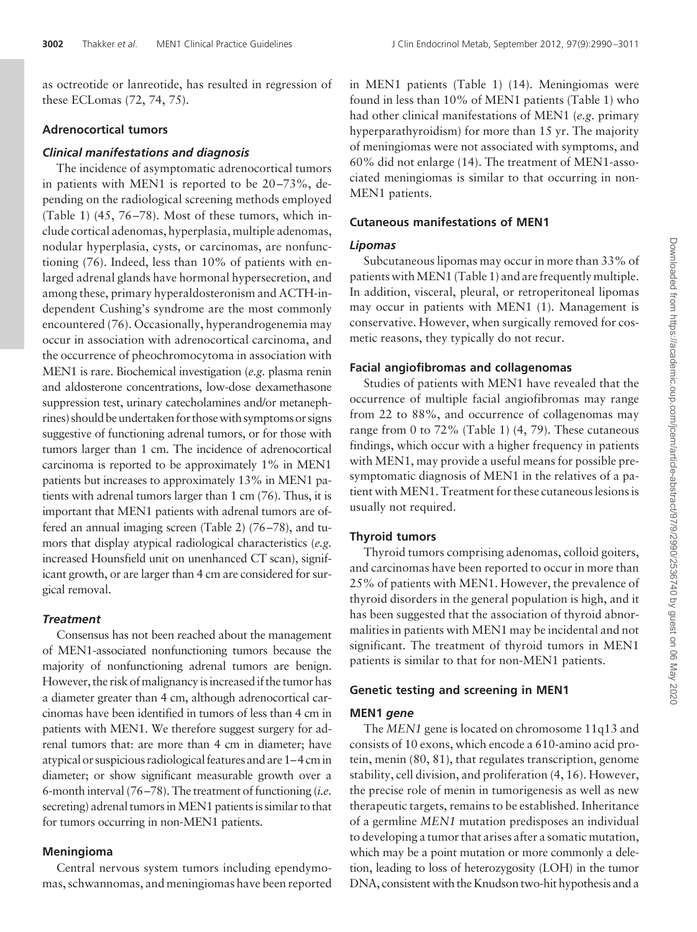as octreotide or lanreotide, has resulted in regression of these ECLomas (72, 74, 75).

#### **Adrenocortical tumors**

#### *Clinical manifestations and diagnosis*

The incidence of asymptomatic adrenocortical tumors in patients with MEN1 is reported to be 20 –73%, depending on the radiological screening methods employed (Table 1)  $(45, 76-78)$ . Most of these tumors, which include cortical adenomas, hyperplasia, multiple adenomas, nodular hyperplasia, cysts, or carcinomas, are nonfunctioning (76). Indeed, less than 10% of patients with enlarged adrenal glands have hormonal hypersecretion, and among these, primary hyperaldosteronism and ACTH-independent Cushing's syndrome are the most commonly encountered (76). Occasionally, hyperandrogenemia may occur in association with adrenocortical carcinoma, and the occurrence of pheochromocytoma in association with MEN1 is rare. Biochemical investigation (*e.g.* plasma renin and aldosterone concentrations, low-dose dexamethasone suppression test, urinary catecholamines and/or metanephrines) should be undertaken for those with symptoms or signs suggestive of functioning adrenal tumors, or for those with tumors larger than 1 cm. The incidence of adrenocortical carcinoma is reported to be approximately 1% in MEN1 patients but increases to approximately 13% in MEN1 patients with adrenal tumors larger than 1 cm (76). Thus, it is important that MEN1 patients with adrenal tumors are offered an annual imaging screen (Table 2) (76 –78), and tumors that display atypical radiological characteristics (*e.g.* increased Hounsfield unit on unenhanced CT scan), significant growth, or are larger than 4 cm are considered for surgical removal.

#### *Treatment*

Consensus has not been reached about the management of MEN1-associated nonfunctioning tumors because the majority of nonfunctioning adrenal tumors are benign. However, the risk of malignancy is increased if the tumor has a diameter greater than 4 cm, although adrenocortical carcinomas have been identified in tumors of less than 4 cm in patients with MEN1. We therefore suggest surgery for adrenal tumors that: are more than 4 cm in diameter; have atypical or suspicious radiological features and are 1–4 cmin diameter; or show significant measurable growth over a 6-month interval (76 –78). The treatment of functioning (*i.e.* secreting) adrenal tumors in MEN1 patients is similar to that for tumors occurring in non-MEN1 patients.

# **Meningioma**

Central nervous system tumors including ependymomas, schwannomas, and meningiomas have been reported

in MEN1 patients (Table 1) (14). Meningiomas were found in less than 10% of MEN1 patients (Table 1) who had other clinical manifestations of MEN1 (*e.g.* primary hyperparathyroidism) for more than 15 yr. The majority of meningiomas were not associated with symptoms, and 60% did not enlarge (14). The treatment of MEN1-associated meningiomas is similar to that occurring in non-MEN1 patients.

# **Cutaneous manifestations of MEN1**

#### *Lipomas*

Subcutaneous lipomas may occur in more than 33% of patients with MEN1 (Table 1) and are frequently multiple. In addition, visceral, pleural, or retroperitoneal lipomas may occur in patients with MEN1 (1). Management is conservative. However, when surgically removed for cosmetic reasons, they typically do not recur.

#### **Facial angiofibromas and collagenomas**

Studies of patients with MEN1 have revealed that the occurrence of multiple facial angiofibromas may range from 22 to 88%, and occurrence of collagenomas may range from 0 to 72% (Table 1) (4, 79). These cutaneous findings, which occur with a higher frequency in patients with MEN1, may provide a useful means for possible presymptomatic diagnosis of MEN1 in the relatives of a patient with MEN1. Treatment for these cutaneous lesions is usually not required.

### **Thyroid tumors**

Thyroid tumors comprising adenomas, colloid goiters, and carcinomas have been reported to occur in more than 25% of patients with MEN1. However, the prevalence of thyroid disorders in the general population is high, and it has been suggested that the association of thyroid abnormalities in patients with MEN1 may be incidental and not significant. The treatment of thyroid tumors in MEN1 patients is similar to that for non-MEN1 patients.

#### **Genetic testing and screening in MEN1**

# **MEN1** *gene*

The *MEN1* gene is located on chromosome 11q13 and consists of 10 exons, which encode a 610-amino acid protein, menin (80, 81), that regulates transcription, genome stability, cell division, and proliferation (4, 16). However, the precise role of menin in tumorigenesis as well as new therapeutic targets, remains to be established. Inheritance of a germline *MEN1* mutation predisposes an individual to developing a tumor that arises after a somatic mutation, which may be a point mutation or more commonly a deletion, leading to loss of heterozygosity (LOH) in the tumor DNA, consistent with the Knudson two-hit hypothesis and a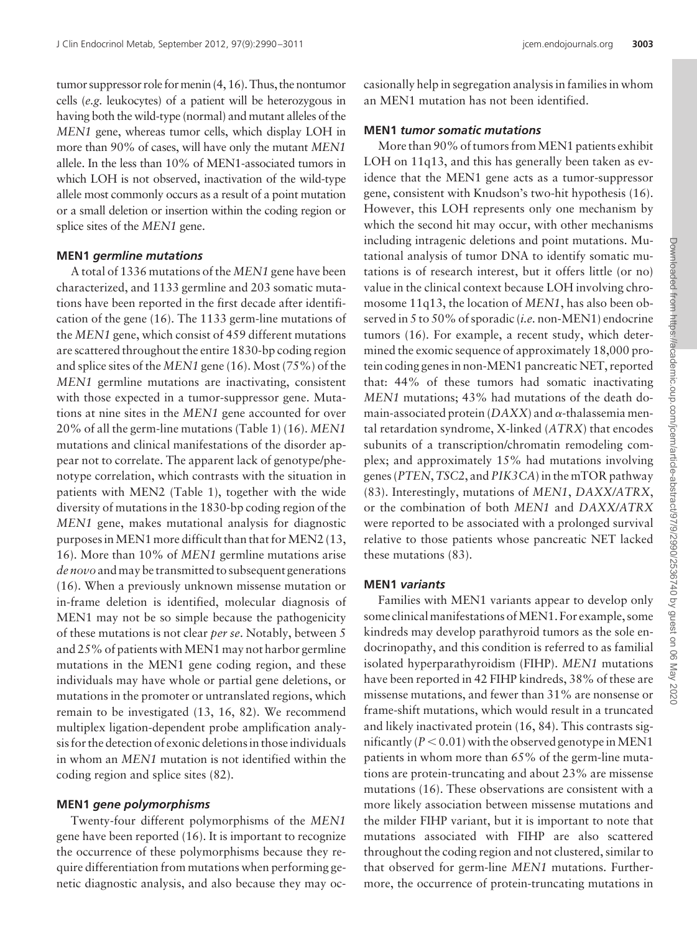tumor suppressor role formenin (4, 16). Thus, the nontumor cells (*e.g.* leukocytes) of a patient will be heterozygous in having both the wild-type (normal) and mutant alleles of the *MEN1* gene, whereas tumor cells, which display LOH in more than 90% of cases, will have only the mutant *MEN1* allele. In the less than 10% of MEN1-associated tumors in which LOH is not observed, inactivation of the wild-type allele most commonly occurs as a result of a point mutation or a small deletion or insertion within the coding region or splice sites of the *MEN1* gene.

### **MEN1** *germline mutations*

A total of 1336 mutations of the *MEN1* gene have been characterized, and 1133 germline and 203 somatic mutations have been reported in the first decade after identification of the gene (16). The 1133 germ-line mutations of the *MEN1* gene, which consist of 459 different mutations are scattered throughout the entire 1830-bp coding region and splice sites of the *MEN1* gene (16). Most (75%) of the *MEN1* germline mutations are inactivating, consistent with those expected in a tumor-suppressor gene. Mutations at nine sites in the *MEN1* gene accounted for over 20% of all the germ-line mutations (Table 1) (16). *MEN1* mutations and clinical manifestations of the disorder appear not to correlate. The apparent lack of genotype/phenotype correlation, which contrasts with the situation in patients with MEN2 (Table 1), together with the wide diversity of mutations in the 1830-bp coding region of the *MEN1* gene, makes mutational analysis for diagnostic purposes in MEN1 more difficult than that for MEN2 (13, 16). More than 10% of *MEN1* germline mutations arise *de novo* and may be transmitted to subsequent generations (16). When a previously unknown missense mutation or in-frame deletion is identified, molecular diagnosis of MEN1 may not be so simple because the pathogenicity of these mutations is not clear *per se*. Notably, between 5 and  $25\%$  of patients with MEN1 may not harbor germline mutations in the MEN1 gene coding region, and these individuals may have whole or partial gene deletions, or mutations in the promoter or untranslated regions, which remain to be investigated (13, 16, 82). We recommend multiplex ligation-dependent probe amplification analysis for the detection of exonic deletions in those individuals in whom an *MEN1* mutation is not identified within the coding region and splice sites (82).

### **MEN1** *gene polymorphisms*

Twenty-four different polymorphisms of the *MEN1* gene have been reported (16). It is important to recognize the occurrence of these polymorphisms because they require differentiation from mutations when performing genetic diagnostic analysis, and also because they may oc-

# **MEN1** *tumor somatic mutations*

More than 90% of tumors fromMEN1 patients exhibit LOH on 11q13, and this has generally been taken as evidence that the MEN1 gene acts as a tumor-suppressor gene, consistent with Knudson's two-hit hypothesis (16). However, this LOH represents only one mechanism by which the second hit may occur, with other mechanisms including intragenic deletions and point mutations. Mutational analysis of tumor DNA to identify somatic mutations is of research interest, but it offers little (or no) value in the clinical context because LOH involving chromosome 11q13, the location of *MEN1*, has also been observed in 5 to 50% of sporadic (*i.e.* non-MEN1) endocrine tumors (16). For example, a recent study, which determined the exomic sequence of approximately 18,000 protein coding genes in non-MEN1 pancreatic NET, reported that: 44% of these tumors had somatic inactivating *MEN1* mutations; 43% had mutations of the death domain-associated protein  $(DAXX)$  and  $\alpha$ -thalassemia mental retardation syndrome, X-linked (*ATRX*) that encodes subunits of a transcription/chromatin remodeling complex; and approximately 15% had mutations involving genes (*PTEN*,*TSC2*, and *PIK3CA*) in the mTOR pathway (83). Interestingly, mutations of *MEN1*, *DAXX/ATRX*, or the combination of both *MEN1* and *DAXX/ATRX* were reported to be associated with a prolonged survival relative to those patients whose pancreatic NET lacked these mutations (83).

# **MEN1** *variants*

Families with MEN1 variants appear to develop only some clinical manifestations of MEN1. For example, some kindreds may develop parathyroid tumors as the sole endocrinopathy, and this condition is referred to as familial isolated hyperparathyroidism (FIHP). *MEN1* mutations have been reported in 42 FIHP kindreds, 38% of these are missense mutations, and fewer than 31% are nonsense or frame-shift mutations, which would result in a truncated and likely inactivated protein (16, 84). This contrasts significantly ( $P < 0.01$ ) with the observed genotype in MEN1 patients in whom more than 65% of the germ-line mutations are protein-truncating and about 23% are missense mutations (16). These observations are consistent with a more likely association between missense mutations and the milder FIHP variant, but it is important to note that mutations associated with FIHP are also scattered throughout the coding region and not clustered, similar to that observed for germ-line *MEN1* mutations. Furthermore, the occurrence of protein-truncating mutations in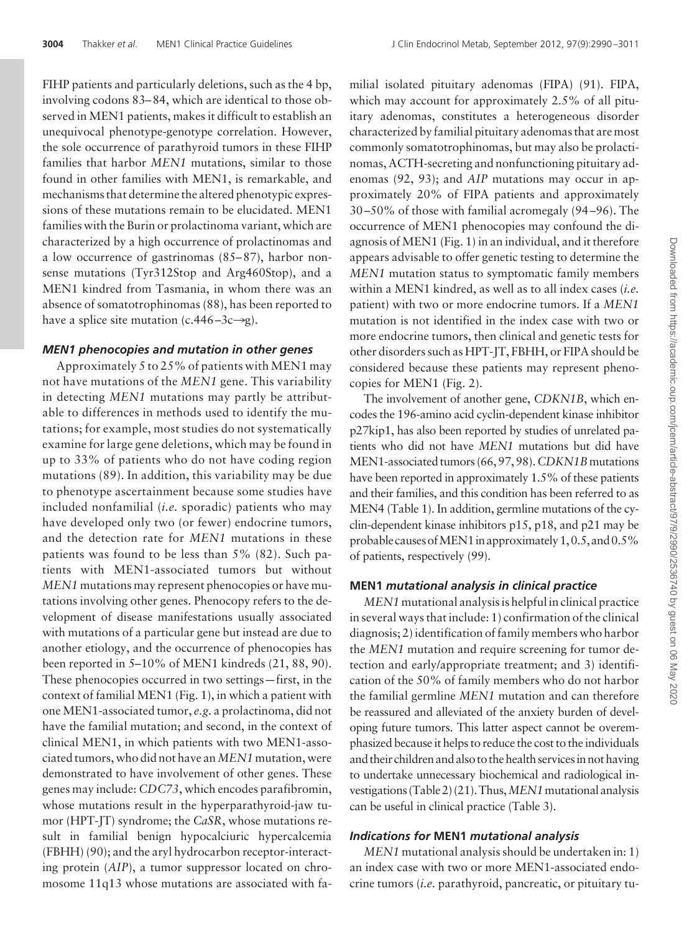FIHP patients and particularly deletions, such as the 4 bp, involving codons 83– 84, which are identical to those observed in MEN1 patients, makes it difficult to establish an unequivocal phenotype-genotype correlation. However, the sole occurrence of parathyroid tumors in these FIHP families that harbor *MEN1* mutations, similar to those found in other families with MEN1, is remarkable, and mechanisms that determine the altered phenotypic expressions of these mutations remain to be elucidated. MEN1 families with the Burin or prolactinoma variant, which are characterized by a high occurrence of prolactinomas and a low occurrence of gastrinomas  $(85-87)$ , harbor nonsense mutations (Tyr312Stop and Arg460Stop), and a MEN1 kindred from Tasmania, in whom there was an absence of somatotrophinomas (88), has been reported to have a splice site mutation (c.446–3c $\rightarrow$ g).

### *MEN1 phenocopies and mutation in other genes*

Approximately 5 to 25% of patients with MEN1 may not have mutations of the *MEN1* gene. This variability in detecting *MEN1* mutations may partly be attributable to differences in methods used to identify the mutations; for example, most studies do not systematically examine for large gene deletions, which may be found in up to 33% of patients who do not have coding region mutations (89). In addition, this variability may be due to phenotype ascertainment because some studies have included nonfamilial (*i.e.* sporadic) patients who may have developed only two (or fewer) endocrine tumors, and the detection rate for *MEN1* mutations in these patients was found to be less than 5% (82). Such patients with MEN1-associated tumors but without *MEN1* mutations may represent phenocopies or have mutations involving other genes. Phenocopy refers to the development of disease manifestations usually associated with mutations of a particular gene but instead are due to another etiology, and the occurrence of phenocopies has been reported in 5–10% of MEN1 kindreds (21, 88, 90). These phenocopies occurred in two settings—first, in the context of familial MEN1 (Fig. 1), in which a patient with one MEN1-associated tumor, *e.g.* a prolactinoma, did not have the familial mutation; and second, in the context of clinical MEN1, in which patients with two MEN1-associated tumors, who did not have an*MEN1* mutation, were demonstrated to have involvement of other genes. These genes may include: *CDC73*, which encodes parafibromin, whose mutations result in the hyperparathyroid-jaw tumor (HPT-JT) syndrome; the *CaSR*, whose mutations result in familial benign hypocalciuric hypercalcemia (FBHH) (90); and the aryl hydrocarbon receptor-interacting protein (*AIP*), a tumor suppressor located on chromosome 11q13 whose mutations are associated with fa-

milial isolated pituitary adenomas (FIPA) (91). FIPA, which may account for approximately 2.5% of all pituitary adenomas, constitutes a heterogeneous disorder characterized by familial pituitary adenomas that are most commonly somatotrophinomas, but may also be prolactinomas, ACTH-secreting and nonfunctioning pituitary adenomas (92, 93); and *AIP* mutations may occur in approximately 20% of FIPA patients and approximately 30 –50% of those with familial acromegaly (94 –96). The occurrence of MEN1 phenocopies may confound the diagnosis of MEN1 (Fig. 1) in an individual, and it therefore appears advisable to offer genetic testing to determine the *MEN1* mutation status to symptomatic family members within a MEN1 kindred, as well as to all index cases (*i.e.* patient) with two or more endocrine tumors. If a *MEN1* mutation is not identified in the index case with two or more endocrine tumors, then clinical and genetic tests for other disorders such as HPT-JT, FBHH, or FIPA should be considered because these patients may represent phenocopies for MEN1 (Fig. 2).

The involvement of another gene, *CDKN1B*, which encodes the 196-amino acid cyclin-dependent kinase inhibitor p27kip1, has also been reported by studies of unrelated patients who did not have *MEN1* mutations but did have MEN1-associated tumors (66, 97, 98). *CDKN1B* mutations have been reported in approximately 1.5% of these patients and their families, and this condition has been referred to as MEN4 (Table 1). In addition, germline mutations of the cyclin-dependent kinase inhibitors p15, p18, and p21 may be probable causes of MEN1 in approximately  $1, 0.5$ , and  $0.5\%$ of patients, respectively (99).

### **MEN1** *mutational analysis in clinical practice*

*MEN1* mutational analysis is helpful in clinical practice in several ways that include: 1) confirmation of the clinical diagnosis; 2) identification of family members who harbor the *MEN1* mutation and require screening for tumor detection and early/appropriate treatment; and 3) identification of the 50% of family members who do not harbor the familial germline *MEN1* mutation and can therefore be reassured and alleviated of the anxiety burden of developing future tumors. This latter aspect cannot be overemphasized because it helps to reduce the cost to the individuals and their children and also to the health servicesin not having to undertake unnecessary biochemical and radiological investigations (Table 2) (21). Thus, *MEN1* mutational analysis can be useful in clinical practice (Table 3).

# *Indications for* **MEN1** *mutational analysis*

*MEN1* mutational analysis should be undertaken in: 1) an index case with two or more MEN1-associated endocrine tumors (*i.e.* parathyroid, pancreatic, or pituitary tu-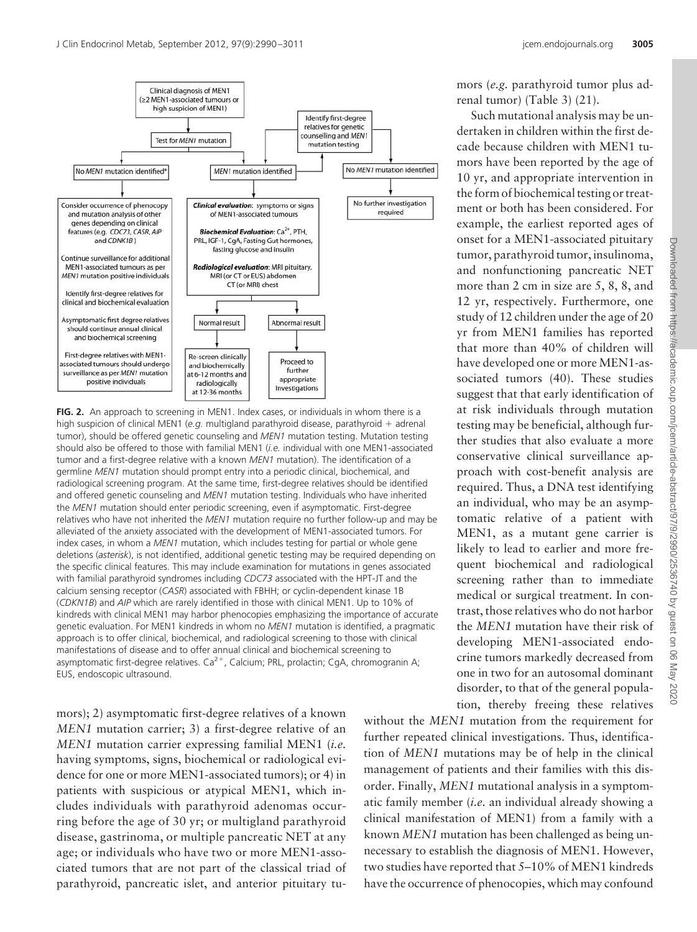

**FIG. 2.** An approach to screening in MEN1. Index cases, or individuals in whom there is a high suspicion of clinical MEN1 (e.g. multigland parathyroid disease, parathyroid  $+$  adrenal tumor), should be offered genetic counseling and *MEN1* mutation testing. Mutation testing should also be offered to those with familial MEN1 (*i.e.* individual with one MEN1-associated tumor and a first-degree relative with a known *MEN1* mutation). The identification of a germline *MEN1* mutation should prompt entry into a periodic clinical, biochemical, and radiological screening program. At the same time, first-degree relatives should be identified and offered genetic counseling and *MEN1* mutation testing. Individuals who have inherited the *MEN1* mutation should enter periodic screening, even if asymptomatic. First-degree relatives who have not inherited the *MEN1* mutation require no further follow-up and may be alleviated of the anxiety associated with the development of MEN1-associated tumors. For index cases, in whom a *MEN1* mutation, which includes testing for partial or whole gene deletions (*asterisk*), is not identified, additional genetic testing may be required depending on the specific clinical features. This may include examination for mutations in genes associated with familial parathyroid syndromes including *CDC73* associated with the HPT-JT and the calcium sensing receptor (*CASR*) associated with FBHH; or cyclin-dependent kinase 1B (*CDKN1B*) and *AIP* which are rarely identified in those with clinical MEN1. Up to 10% of kindreds with clinical MEN1 may harbor phenocopies emphasizing the importance of accurate genetic evaluation. For MEN1 kindreds in whom no *MEN1* mutation is identified, a pragmatic approach is to offer clinical, biochemical, and radiological screening to those with clinical manifestations of disease and to offer annual clinical and biochemical screening to asymptomatic first-degree relatives.  $Ca^{2+}$ , Calcium; PRL, prolactin; CgA, chromogranin A; EUS, endoscopic ultrasound.

mors); 2) asymptomatic first-degree relatives of a known *MEN1* mutation carrier; 3) a first-degree relative of an *MEN1* mutation carrier expressing familial MEN1 (*i.e.* having symptoms, signs, biochemical or radiological evidence for one or more MEN1-associated tumors); or 4) in patients with suspicious or atypical MEN1, which includes individuals with parathyroid adenomas occurring before the age of 30 yr; or multigland parathyroid disease, gastrinoma, or multiple pancreatic NET at any age; or individuals who have two or more MEN1-associated tumors that are not part of the classical triad of parathyroid, pancreatic islet, and anterior pituitary tu-

mors (*e.g.* parathyroid tumor plus adrenal tumor) (Table 3) (21).

Such mutational analysis may be undertaken in children within the first decade because children with MEN1 tumors have been reported by the age of 10 yr, and appropriate intervention in the form of biochemical testing or treatment or both has been considered. For example, the earliest reported ages of onset for a MEN1-associated pituitary tumor, parathyroid tumor, insulinoma, and nonfunctioning pancreatic NET more than 2 cm in size are 5, 8, 8, and 12 yr, respectively. Furthermore, one study of 12 children under the age of 20 yr from MEN1 families has reported that more than 40% of children will have developed one or more MEN1-associated tumors (40). These studies suggest that that early identification of at risk individuals through mutation testing may be beneficial, although further studies that also evaluate a more conservative clinical surveillance approach with cost-benefit analysis are required. Thus, a DNA test identifying an individual, who may be an asymptomatic relative of a patient with MEN1, as a mutant gene carrier is likely to lead to earlier and more frequent biochemical and radiological screening rather than to immediate medical or surgical treatment. In contrast, those relatives who do not harbor the *MEN1* mutation have their risk of developing MEN1-associated endocrine tumors markedly decreased from one in two for an autosomal dominant disorder, to that of the general population, thereby freeing these relatives

without the *MEN1* mutation from the requirement for further repeated clinical investigations. Thus, identification of *MEN1* mutations may be of help in the clinical management of patients and their families with this disorder. Finally, *MEN1* mutational analysis in a symptomatic family member (*i.e.* an individual already showing a clinical manifestation of MEN1) from a family with a known *MEN1* mutation has been challenged as being unnecessary to establish the diagnosis of MEN1. However, two studies have reported that 5–10% of MEN1 kindreds have the occurrence of phenocopies, which may confound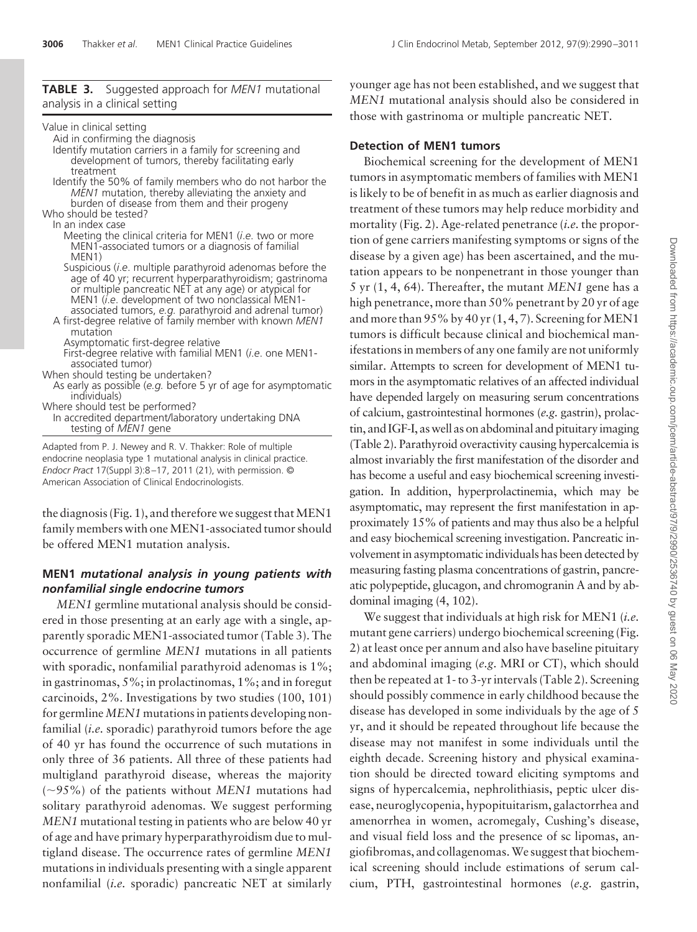# **TABLE 3.** Suggested approach for *MEN1* mutational analysis in a clinical setting

| Value in clinical setting                                                                                                                                                                                                                                                                                                                                                                                                                                                                                                                                                                                                                                                                                                                                                                                                                                                                                                            |                                                                                                                                                                       |
|--------------------------------------------------------------------------------------------------------------------------------------------------------------------------------------------------------------------------------------------------------------------------------------------------------------------------------------------------------------------------------------------------------------------------------------------------------------------------------------------------------------------------------------------------------------------------------------------------------------------------------------------------------------------------------------------------------------------------------------------------------------------------------------------------------------------------------------------------------------------------------------------------------------------------------------|-----------------------------------------------------------------------------------------------------------------------------------------------------------------------|
| Aid in confirming the diagnosis<br>Identify mutation carriers in a family for screening and<br>development of tumors, thereby facilitating early                                                                                                                                                                                                                                                                                                                                                                                                                                                                                                                                                                                                                                                                                                                                                                                     | <b>Detecti</b><br>Bioch                                                                                                                                               |
| treatment<br>Identify the 50% of family members who do not harbor the<br><i>MEN1</i> mutation, thereby alleviating the anxiety and<br>burden of disease from them and their progeny<br>Who should be tested?<br>In an index case<br>Meeting the clinical criteria for MEN1 ( <i>i.e.</i> two or more<br>MEN1-associated tumors or a diagnosis of familial<br>MEN <sub>1</sub> )<br>Suspicious ( <i>i.e.</i> multiple parathyroid adenomas before the<br>age of 40 yr; recurrent hyperparathyroidism; gastrinoma<br>or multiple pancreatic NET at any age) or atypical for<br>MEN1 ( <i>i.e.</i> development of two nonclassical MEN1-<br>associated tumors, e.g. parathyroid and adrenal tumor)<br>A first-degree relative of family member with known MEN1<br>mutation<br>Asymptomatic first-degree relative<br>First-degree relative with familial MEN1 (i.e. one MEN1-<br>associated tumor)<br>When should testing be undertaken? | tumors i<br>is likely<br>treatmei<br>mortalit<br>tion of g<br>disease l<br>tation a<br>5 yr (1,<br>high per<br>and mor<br>tumors:<br>ifestatio<br>similar.<br>mors in |
| As early as possible (e.g. before 5 yr of age for asymptomatic<br>individuals)<br>Where should test be performed?<br>In accredited department/laboratory undertaking DNA<br>testing of <i>MEN1</i> gene                                                                                                                                                                                                                                                                                                                                                                                                                                                                                                                                                                                                                                                                                                                              | have dep<br>of calciu<br>tin, and l                                                                                                                                   |

Adapted from P. J. Newey and R. V. Thakker: Role of multiple endocrine neoplasia type 1 mutational analysis in clinical practice. *Endocr Pract* 17(Suppl 3):8 –17, 2011 (21), with permission. © American Association of Clinical Endocrinologists.

the diagnosis (Fig. 1), and therefore we suggest that MEN1 family members with one MEN1-associated tumor should be offered MEN1 mutation analysis.

# **MEN1** *mutational analysis in young patients with nonfamilial single endocrine tumors*

*MEN1* germline mutational analysis should be considered in those presenting at an early age with a single, apparently sporadic MEN1-associated tumor (Table 3). The occurrence of germline *MEN1* mutations in all patients with sporadic, nonfamilial parathyroid adenomas is 1%; in gastrinomas, 5%; in prolactinomas, 1%; and in foregut carcinoids, 2%. Investigations by two studies (100, 101) for germline*MEN1* mutations in patients developing nonfamilial (*i.e.* sporadic) parathyroid tumors before the age of 40 yr has found the occurrence of such mutations in only three of 36 patients. All three of these patients had multigland parathyroid disease, whereas the majority (95%) of the patients without *MEN1* mutations had solitary parathyroid adenomas. We suggest performing *MEN1* mutational testing in patients who are below 40 yr of age and have primary hyperparathyroidism due to multigland disease. The occurrence rates of germline *MEN1* mutations in individuals presenting with a single apparent nonfamilial (*i.e.* sporadic) pancreatic NET at similarly younger age has not been established, and we suggest that *MEN1* mutational analysis should also be considered in those with gastrinoma or multiple pancreatic NET.

# **Detection of MEN1 tumors**

hemical screening for the development of MEN1 in asymptomatic members of families with MEN1 to be of benefit in as much as earlier diagnosis and nt of these tumors may help reduce morbidity and  $xy$  (Fig. 2). Age-related penetrance *(i.e.* the proportene carriers manifesting symptoms or signs of the by a given age) has been ascertained, and the muppears to be nonpenetrant in those younger than 4, 64). Thereafter, the mutant *MEN1* gene has a hetrance, more than 50% penetrant by 20 yr of age re than  $95\%$  by  $40$  yr  $(1, 4, 7)$ . Screening for MEN1 is difficult because clinical and biochemical manins in members of any one family are not uniformly Attempts to screen for development of MEN1 tuthe asymptomatic relatives of an affected individual bended largely on measuring serum concentrations of calcinum, gastrointestinal hormones *(e.g.* gastrin), prolac-IGF-I, as well as on abdominal and pituitary imaging (Table 2). Parathyroid overactivity causing hypercalcemia is almost invariably the first manifestation of the disorder and has become a useful and easy biochemical screening investigation. In addition, hyperprolactinemia, which may be asymptomatic, may represent the first manifestation in approximately 15% of patients and may thus also be a helpful and easy biochemical screening investigation. Pancreatic involvement in asymptomatic individuals has been detected by measuring fasting plasma concentrations of gastrin, pancreatic polypeptide, glucagon, and chromogranin A and by abdominal imaging (4, 102).

We suggest that individuals at high risk for MEN1 (*i.e.* mutant gene carriers) undergo biochemical screening (Fig. 2) at least once per annum and also have baseline pituitary and abdominal imaging (*e.g.* MRI or CT), which should then be repeated at 1- to 3-yr intervals (Table 2). Screening should possibly commence in early childhood because the disease has developed in some individuals by the age of 5 yr, and it should be repeated throughout life because the disease may not manifest in some individuals until the eighth decade. Screening history and physical examination should be directed toward eliciting symptoms and signs of hypercalcemia, nephrolithiasis, peptic ulcer disease, neuroglycopenia, hypopituitarism, galactorrhea and amenorrhea in women, acromegaly, Cushing's disease, and visual field loss and the presence of sc lipomas, angiofibromas, and collagenomas.We suggest that biochemical screening should include estimations of serum calcium, PTH, gastrointestinal hormones (*e.g.* gastrin,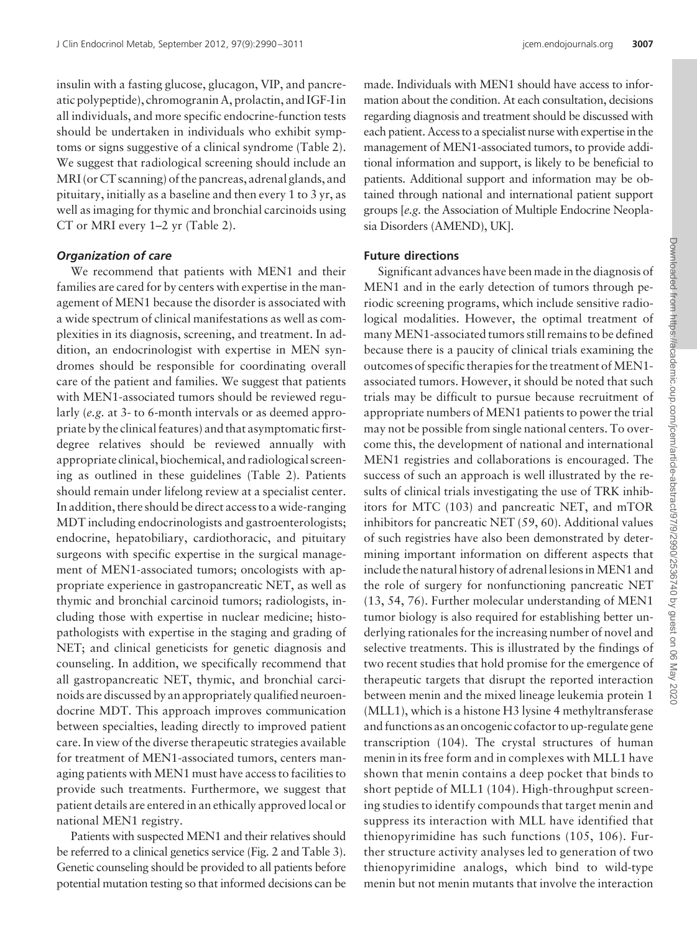insulin with a fasting glucose, glucagon, VIP, and pancreatic polypeptide), chromogranin A, prolactin, and IGF-I in all individuals, and more specific endocrine-function tests should be undertaken in individuals who exhibit symptoms or signs suggestive of a clinical syndrome (Table 2). We suggest that radiological screening should include an MRI (or CT scanning) of the pancreas, adrenal glands, and pituitary, initially as a baseline and then every 1 to 3 yr, as well as imaging for thymic and bronchial carcinoids using CT or MRI every 1–2 yr (Table 2).

### *Organization of care*

We recommend that patients with MEN1 and their families are cared for by centers with expertise in the management of MEN1 because the disorder is associated with a wide spectrum of clinical manifestations as well as complexities in its diagnosis, screening, and treatment. In addition, an endocrinologist with expertise in MEN syndromes should be responsible for coordinating overall care of the patient and families. We suggest that patients with MEN1-associated tumors should be reviewed regularly (*e.g.* at 3- to 6-month intervals or as deemed appropriate by the clinical features) and that asymptomatic firstdegree relatives should be reviewed annually with appropriate clinical, biochemical, and radiological screening as outlined in these guidelines (Table 2). Patients should remain under lifelong review at a specialist center. In addition, there should be direct access to a wide-ranging MDT including endocrinologists and gastroenterologists; endocrine, hepatobiliary, cardiothoracic, and pituitary surgeons with specific expertise in the surgical management of MEN1-associated tumors; oncologists with appropriate experience in gastropancreatic NET, as well as thymic and bronchial carcinoid tumors; radiologists, including those with expertise in nuclear medicine; histopathologists with expertise in the staging and grading of NET; and clinical geneticists for genetic diagnosis and counseling. In addition, we specifically recommend that all gastropancreatic NET, thymic, and bronchial carcinoids are discussed by an appropriately qualified neuroendocrine MDT. This approach improves communication between specialties, leading directly to improved patient care. In view of the diverse therapeutic strategies available for treatment of MEN1-associated tumors, centers managing patients with MEN1 must have access to facilities to provide such treatments. Furthermore, we suggest that patient details are entered in an ethically approved local or national MEN1 registry.

Patients with suspected MEN1 and their relatives should be referred to a clinical genetics service (Fig. 2 and Table 3). Genetic counseling should be provided to all patients before potential mutation testing so that informed decisions can be made. Individuals with MEN1 should have access to information about the condition. At each consultation, decisions regarding diagnosis and treatment should be discussed with each patient. Access to a specialist nurse with expertise in the management of MEN1-associated tumors, to provide additional information and support, is likely to be beneficial to patients. Additional support and information may be obtained through national and international patient support groups [*e.g.* the Association of Multiple Endocrine Neoplasia Disorders (AMEND), UK].

# **Future directions**

Significant advances have been made in the diagnosis of MEN1 and in the early detection of tumors through periodic screening programs, which include sensitive radiological modalities. However, the optimal treatment of manyMEN1-associated tumors still remains to be defined because there is a paucity of clinical trials examining the outcomes of specific therapies for the treatment of MEN1associated tumors. However, it should be noted that such trials may be difficult to pursue because recruitment of appropriate numbers of MEN1 patients to power the trial may not be possible from single national centers. To overcome this, the development of national and international MEN1 registries and collaborations is encouraged. The success of such an approach is well illustrated by the results of clinical trials investigating the use of TRK inhibitors for MTC (103) and pancreatic NET, and mTOR inhibitors for pancreatic NET (59, 60). Additional values of such registries have also been demonstrated by determining important information on different aspects that include the natural history of adrenal lesions inMEN1 and the role of surgery for nonfunctioning pancreatic NET (13, 54, 76). Further molecular understanding of MEN1 tumor biology is also required for establishing better underlying rationales for the increasing number of novel and selective treatments. This is illustrated by the findings of two recent studies that hold promise for the emergence of therapeutic targets that disrupt the reported interaction between menin and the mixed lineage leukemia protein 1 (MLL1), which is a histone H3 lysine 4 methyltransferase and functions as an oncogenic cofactor to up-regulate gene transcription (104). The crystal structures of human menin in itsfree form and in complexes with MLL1 have shown that menin contains a deep pocket that binds to short peptide of MLL1 (104). High-throughput screening studies to identify compounds that target menin and suppress its interaction with MLL have identified that thienopyrimidine has such functions (105, 106). Further structure activity analyses led to generation of two thienopyrimidine analogs, which bind to wild-type menin but not menin mutants that involve the interaction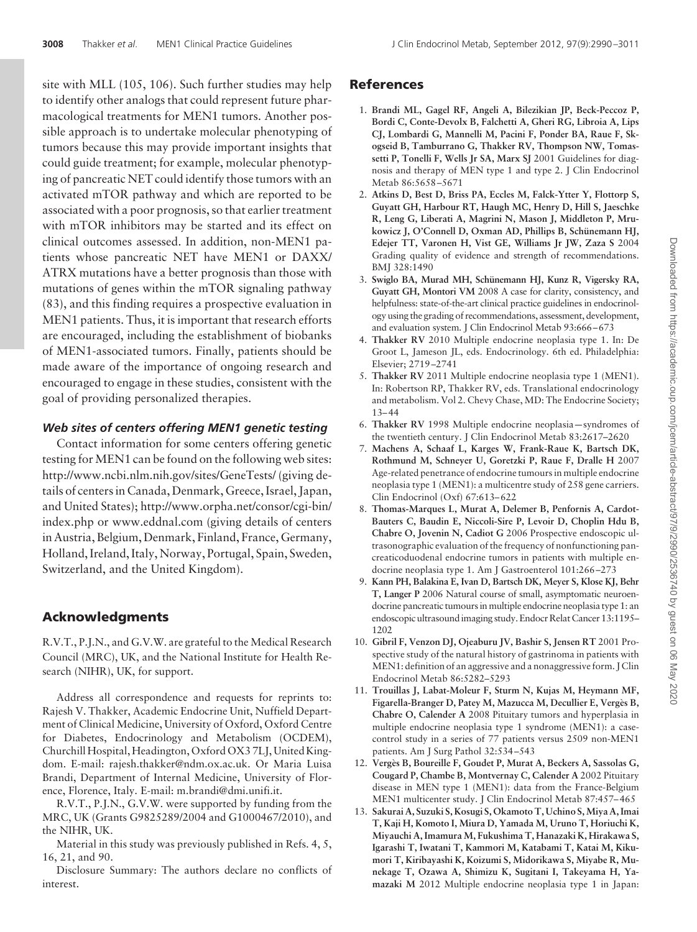site with MLL (105, 106). Such further studies may help to identify other analogs that could represent future pharmacological treatments for MEN1 tumors. Another possible approach is to undertake molecular phenotyping of tumors because this may provide important insights that could guide treatment; for example, molecular phenotyping of pancreatic NET could identify those tumors with an activated mTOR pathway and which are reported to be associated with a poor prognosis, so that earlier treatment with mTOR inhibitors may be started and its effect on clinical outcomes assessed. In addition, non-MEN1 patients whose pancreatic NET have MEN1 or DAXX/ ATRX mutations have a better prognosis than those with mutations of genes within the mTOR signaling pathway (83), and this finding requires a prospective evaluation in MEN1 patients. Thus, it is important that research efforts are encouraged, including the establishment of biobanks of MEN1-associated tumors. Finally, patients should be made aware of the importance of ongoing research and encouraged to engage in these studies, consistent with the goal of providing personalized therapies.

# *Web sites of centers offering MEN1 genetic testing*

Contact information for some centers offering genetic testing for MEN1 can be found on the following web sites: http://www.ncbi.nlm.nih.gov/sites/GeneTests/ (giving details of centers in Canada, Denmark, Greece, Israel, Japan, and United States); http://www.orpha.net/consor/cgi-bin/ index.php or www.eddnal.com (giving details of centers in Austria, Belgium, Denmark, Finland, France, Germany, Holland, Ireland, Italy, Norway, Portugal, Spain, Sweden, Switzerland, and the United Kingdom).

# **Acknowledgments**

R.V.T., P.J.N., and G.V.W. are grateful to the Medical Research Council (MRC), UK, and the National Institute for Health Research (NIHR), UK, for support.

Address all correspondence and requests for reprints to: Rajesh V. Thakker, Academic Endocrine Unit, Nuffield Department of Clinical Medicine, University of Oxford, Oxford Centre for Diabetes, Endocrinology and Metabolism (OCDEM), Churchill Hospital, Headington, Oxford OX3 7LJ, United Kingdom. E-mail: rajesh.thakker@ndm.ox.ac.uk. Or Maria Luisa Brandi, Department of Internal Medicine, University of Florence, Florence, Italy. E-mail: m.brandi@dmi.unifi.it.

R.V.T., P.J.N., G.V.W. were supported by funding from the MRC, UK (Grants G9825289/2004 and G1000467/2010), and the NIHR, UK.

Material in this study was previously published in Refs. 4, 5, 16, 21, and 90.

Disclosure Summary: The authors declare no conflicts of interest.

# **References**

- 1. **Brandi ML, Gagel RF, Angeli A, Bilezikian JP, Beck-Peccoz P, Bordi C, Conte-Devolx B, Falchetti A, Gheri RG, Libroia A, Lips CJ, Lombardi G, Mannelli M, Pacini F, Ponder BA, Raue F, Skogseid B, Tamburrano G, Thakker RV, Thompson NW, Tomassetti P, Tonelli F, Wells Jr SA, Marx SJ** 2001 Guidelines for diagnosis and therapy of MEN type 1 and type 2. J Clin Endocrinol Metab 86:5658 –5671
- 2. **Atkins D, Best D, Briss PA, Eccles M, Falck-Ytter Y, Flottorp S, Guyatt GH, Harbour RT, Haugh MC, Henry D, Hill S, Jaeschke R, Leng G, Liberati A, Magrini N, Mason J, Middleton P, Mru**kowicz J, O'Connell D, Oxman AD, Phillips B, Schünemann HJ, **Edejer TT, Varonen H, Vist GE, Williams Jr JW, Zaza S** 2004 Grading quality of evidence and strength of recommendations. BMJ 328:1490
- 3. Swiglo BA, Murad MH, Schünemann HJ, Kunz R, Vigersky RA, **Guyatt GH, Montori VM** 2008 A case for clarity, consistency, and helpfulness: state-of-the-art clinical practice guidelines in endocrinology using the grading of recommendations, assessment, development, and evaluation system. J Clin Endocrinol Metab 93:666 –673
- 4. **Thakker RV** 2010 Multiple endocrine neoplasia type 1. In: De Groot L, Jameson JL, eds. Endocrinology. 6th ed. Philadelphia: Elsevier; 2719 –2741
- 5. **Thakker RV** 2011 Multiple endocrine neoplasia type 1 (MEN1). In: Robertson RP, Thakker RV, eds. Translational endocrinology and metabolism. Vol 2. Chevy Chase, MD: The Endocrine Society; 13– 44
- 6. **Thakker RV** 1998 Multiple endocrine neoplasia—syndromes of the twentieth century. J Clin Endocrinol Metab 83:2617–2620
- 7. **Machens A, Schaaf L, Karges W, Frank-Raue K, Bartsch DK, Rothmund M, Schneyer U, Goretzki P, Raue F, Dralle H** 2007 Age-related penetrance of endocrine tumours in multiple endocrine neoplasia type 1 (MEN1): a multicentre study of 258 gene carriers. Clin Endocrinol (Oxf) 67:613– 622
- 8. **Thomas-Marques L, Murat A, Delemer B, Penfornis A, Cardot-Bauters C, Baudin E, Niccoli-Sire P, Levoir D, Choplin Hdu B, Chabre O, Jovenin N, Cadiot G** 2006 Prospective endoscopic ultrasonographic evaluation of the frequency of nonfunctioning pancreaticoduodenal endocrine tumors in patients with multiple endocrine neoplasia type 1. Am J Gastroenterol 101:266 –273
- 9. **Kann PH, Balakina E, Ivan D, Bartsch DK, Meyer S, Klose KJ, Behr T, Langer P** 2006 Natural course of small, asymptomatic neuroendocrine pancreatic tumours in multiple endocrine neoplasia type 1: an endoscopic ultrasoundimaging study. Endocr Relat Cancer 13:1195– 1202
- 10. **Gibril F, Venzon DJ, Ojeaburu JV, Bashir S, Jensen RT** 2001 Prospective study of the natural history of gastrinoma in patients with MEN1: definition of an aggressive and a nonaggressive form. J Clin Endocrinol Metab 86:5282–5293
- 11. **Trouillas J, Labat-Moleur F, Sturm N, Kujas M, Heymann MF, Figarella-Branger D, Patey M, Mazucca M, Decullier E, Verge`s B, Chabre O, Calender A** 2008 Pituitary tumors and hyperplasia in multiple endocrine neoplasia type 1 syndrome (MEN1): a casecontrol study in a series of 77 patients versus 2509 non-MEN1 patients. Am J Surg Pathol 32:534 –543
- 12. Vergès B, Boureille F, Goudet P, Murat A, Beckers A, Sassolas G, **Cougard P, Chambe B, Montvernay C, Calender A** 2002 Pituitary disease in MEN type 1 (MEN1): data from the France-Belgium MEN1 multicenter study. J Clin Endocrinol Metab 87:457– 465
- 13. **Sakurai A, Suzuki S, Kosugi S, Okamoto T, Uchino S,Miya A, Imai T, Kaji H, Komoto I, Miura D, Yamada M, Uruno T, Horiuchi K, Miyauchi A, Imamura M, Fukushima T, Hanazaki K, Hirakawa S, Igarashi T, Iwatani T, Kammori M, Katabami T, Katai M, Kikumori T, Kiribayashi K, Koizumi S, Midorikawa S, Miyabe R, Munekage T, Ozawa A, Shimizu K, Sugitani I, Takeyama H, Yamazaki M** 2012 Multiple endocrine neoplasia type 1 in Japan: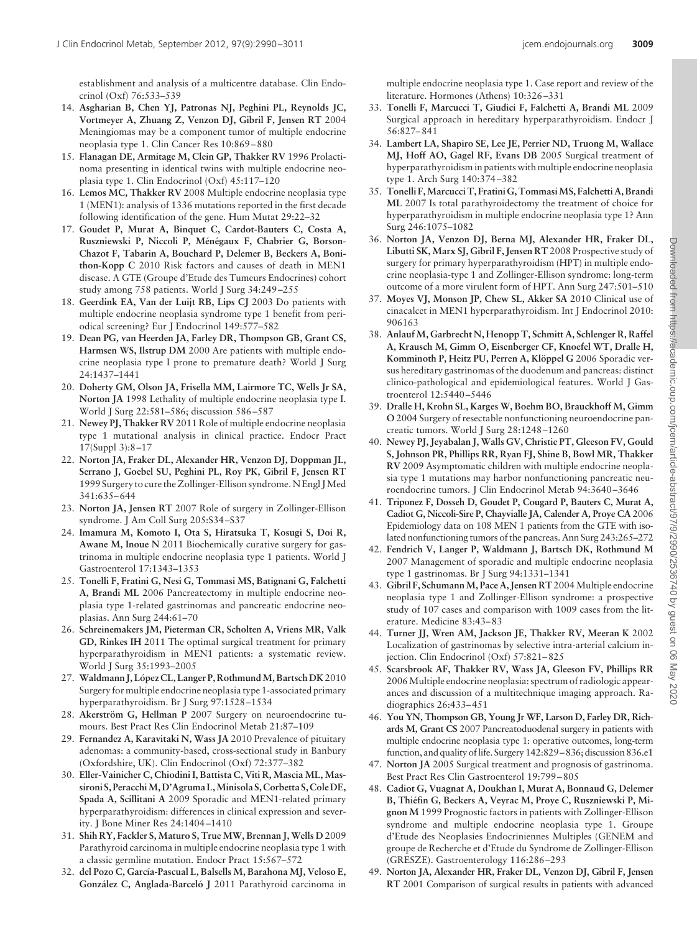establishment and analysis of a multicentre database. Clin Endocrinol (Oxf) 76:533–539

- 14. **Asgharian B, Chen YJ, Patronas NJ, Peghini PL, Reynolds JC, Vortmeyer A, Zhuang Z, Venzon DJ, Gibril F, Jensen RT** 2004 Meningiomas may be a component tumor of multiple endocrine neoplasia type 1. Clin Cancer Res 10:869 – 880
- 15. **Flanagan DE, Armitage M, Clein GP, Thakker RV** 1996 Prolactinoma presenting in identical twins with multiple endocrine neoplasia type 1. Clin Endocrinol (Oxf) 45:117–120
- 16. **Lemos MC, Thakker RV** 2008 Multiple endocrine neoplasia type 1 (MEN1): analysis of 1336 mutations reported in the first decade following identification of the gene. Hum Mutat 29:22–32
- 17. **Goudet P, Murat A, Binquet C, Cardot-Bauters C, Costa A,** Ruszniewski P, Niccoli P, Ménégaux F, Chabrier G, Borson-**Chazot F, Tabarin A, Bouchard P, Delemer B, Beckers A, Bonithon-Kopp C** 2010 Risk factors and causes of death in MEN1 disease. A GTE (Groupe d'Etude des Tumeurs Endocrines) cohort study among 758 patients. World J Surg 34:249 –255
- 18. **Geerdink EA, Van der Luijt RB, Lips CJ** 2003 Do patients with multiple endocrine neoplasia syndrome type 1 benefit from periodical screening? Eur J Endocrinol 149:577–582
- 19. **Dean PG, van Heerden JA, Farley DR, Thompson GB, Grant CS, Harmsen WS, Ilstrup DM** 2000 Are patients with multiple endocrine neoplasia type I prone to premature death? World J Surg 24:1437–1441
- 20. **Doherty GM, Olson JA, Frisella MM, Lairmore TC, Wells Jr SA, Norton JA** 1998 Lethality of multiple endocrine neoplasia type I. World J Surg 22:581–586; discussion 586 –587
- 21. **Newey PJ, Thakker RV** 2011 Role of multiple endocrine neoplasia type 1 mutational analysis in clinical practice. Endocr Pract 17(Suppl 3):8 –17
- 22. **Norton JA, Fraker DL, Alexander HR, Venzon DJ, Doppman JL, Serrano J, Goebel SU, Peghini PL, Roy PK, Gibril F, Jensen RT** 1999 Surgery to cure the Zollinger-Ellison syndrome. N Engl JMed 341:635– 644
- 23. **Norton JA, Jensen RT** 2007 Role of surgery in Zollinger-Ellison syndrome. J Am Coll Surg 205:S34 –S37
- 24. **Imamura M, Komoto I, Ota S, Hiratsuka T, Kosugi S, Doi R, Awane M, Inoue N** 2011 Biochemically curative surgery for gastrinoma in multiple endocrine neoplasia type 1 patients. World J Gastroenterol 17:1343–1353
- 25. **Tonelli F, Fratini G, Nesi G, Tommasi MS, Batignani G, Falchetti A, Brandi ML** 2006 Pancreatectomy in multiple endocrine neoplasia type 1-related gastrinomas and pancreatic endocrine neoplasias. Ann Surg 244:61–70
- 26. **Schreinemakers JM, Pieterman CR, Scholten A, Vriens MR, Valk GD, Rinkes IH** 2011 The optimal surgical treatment for primary hyperparathyroidism in MEN1 patients: a systematic review. World J Surg 35:1993–2005
- 27. Waldmann J, López CL, Langer P, Rothmund M, Bartsch DK 2010 Surgery for multiple endocrine neoplasia type 1-associated primary hyperparathyroidism. Br J Surg 97:1528 –1534
- 28. Akerström G, Hellman P 2007 Surgery on neuroendocrine tumours. Best Pract Res Clin Endocrinol Metab 21:87–109
- 29. **Fernandez A, Karavitaki N, Wass JA** 2010 Prevalence of pituitary adenomas: a community-based, cross-sectional study in Banbury (Oxfordshire, UK). Clin Endocrinol (Oxf) 72:377–382
- 30. **Eller-Vainicher C, Chiodini I, Battista C, Viti R, Mascia ML, Massironi S, PeracchiM, D'Agruma L,Minisola S, Corbetta S, Cole DE, Spada A, Scillitani A** 2009 Sporadic and MEN1-related primary hyperparathyroidism: differences in clinical expression and severity. J Bone Miner Res 24:1404 –1410
- 31. **Shih RY, Fackler S, Maturo S, True MW, Brennan J, Wells D** 2009 Parathyroid carcinoma in multiple endocrine neoplasia type 1 with a classic germline mutation. Endocr Pract 15:567–572
- 32. **del Pozo C, García-Pascual L, Balsells M, Barahona MJ, Veloso E,** González C, Anglada-Barceló J 2011 Parathyroid carcinoma in

multiple endocrine neoplasia type 1. Case report and review of the literature. Hormones (Athens) 10:326 –331

- 33. **Tonelli F, Marcucci T, Giudici F, Falchetti A, Brandi ML** 2009 Surgical approach in hereditary hyperparathyroidism. Endocr J 56:827– 841
- 34. **Lambert LA, Shapiro SE, Lee JE, Perrier ND, Truong M, Wallace MJ, Hoff AO, Gagel RF, Evans DB** 2005 Surgical treatment of hyperparathyroidism in patients with multiple endocrine neoplasia type 1. Arch Surg 140:374 –382
- 35. **Tonelli F,Marcucci T, Fratini G, TommasiMS, Falchetti A, Brandi ML** 2007 Is total parathyroidectomy the treatment of choice for hyperparathyroidism in multiple endocrine neoplasia type 1? Ann Surg 246:1075–1082
- 36. **Norton JA, Venzon DJ, Berna MJ, Alexander HR, Fraker DL, Libutti SK, Marx SJ, Gibril F, Jensen RT** 2008 Prospective study of surgery for primary hyperparathyroidism (HPT) in multiple endocrine neoplasia-type 1 and Zollinger-Ellison syndrome: long-term outcome of a more virulent form of HPT. Ann Surg 247:501–510
- 37. **Moyes VJ, Monson JP, Chew SL, Akker SA** 2010 Clinical use of cinacalcet in MEN1 hyperparathyroidism. Int J Endocrinol 2010: 906163
- 38. **Anlauf M, Garbrecht N, Henopp T, Schmitt A, Schlenger R, Raffel A, Krausch M, Gimm O, Eisenberger CF, Knoefel WT, Dralle H,** Komminoth P, Heitz PU, Perren A, Klöppel G 2006 Sporadic versus hereditary gastrinomas of the duodenum and pancreas: distinct clinico-pathological and epidemiological features. World J Gastroenterol 12:5440 –5446
- 39. **Dralle H, Krohn SL, Karges W, Boehm BO, Brauckhoff M, Gimm O** 2004 Surgery of resectable nonfunctioning neuroendocrine pancreatic tumors. World J Surg 28:1248 –1260
- 40. **Newey PJ, Jeyabalan J, Walls GV, Christie PT, Gleeson FV, Gould S, Johnson PR, Phillips RR, Ryan FJ, Shine B, Bowl MR, Thakker RV** 2009 Asymptomatic children with multiple endocrine neoplasia type 1 mutations may harbor nonfunctioning pancreatic neuroendocrine tumors. J Clin Endocrinol Metab 94:3640 –3646
- 41. **Triponez F, Dosseh D, Goudet P, Cougard P, Bauters C, Murat A, Cadiot G, Niccoli-Sire P, Chayvialle JA, Calender A, Proye CA** 2006 Epidemiology data on 108 MEN 1 patients from the GTE with isolated nonfunctioning tumors of the pancreas. Ann Surg 243:265–272
- 42. **Fendrich V, Langer P, Waldmann J, Bartsch DK, Rothmund M** 2007 Management of sporadic and multiple endocrine neoplasia type 1 gastrinomas. Br J Surg 94:1331–1341
- 43. **Gibril F, SchumannM, Pace A, Jensen RT** 2004Multiple endocrine neoplasia type 1 and Zollinger-Ellison syndrome: a prospective study of 107 cases and comparison with 1009 cases from the literature. Medicine 83:43– 83
- 44. **Turner JJ, Wren AM, Jackson JE, Thakker RV, Meeran K** 2002 Localization of gastrinomas by selective intra-arterial calcium injection. Clin Endocrinol (Oxf) 57:821– 825
- 45. **Scarsbrook AF, Thakker RV, Wass JA, Gleeson FV, Phillips RR** 2006Multiple endocrine neoplasia: spectrum of radiologic appearances and discussion of a multitechnique imaging approach. Radiographics 26:433– 451
- 46. **You YN, Thompson GB, Young Jr WF, Larson D, Farley DR, Richards M, Grant CS** 2007 Pancreatoduodenal surgery in patients with multiple endocrine neoplasia type 1: operative outcomes, long-term function, and quality of life. Surgery 142:829 - 836; discussion 836.e1
- 47. **Norton JA** 2005 Surgical treatment and prognosis of gastrinoma. Best Pract Res Clin Gastroenterol 19:799 – 805
- 48. **Cadiot G, Vuagnat A, Doukhan I, Murat A, Bonnaud G, Delemer** B, Thiéfin G, Beckers A, Veyrac M, Proye C, Ruszniewski P, Mi**gnon M** 1999 Prognostic factors in patients with Zollinger-Ellison syndrome and multiple endocrine neoplasia type 1. Groupe d'Etude des Neoplasies Endocriniennes Multiples (GENEM and groupe de Recherche et d'Etude du Syndrome de Zollinger-Ellison (GRESZE). Gastroenterology 116:286 –293
- 49. **Norton JA, Alexander HR, Fraker DL, Venzon DJ, Gibril F, Jensen RT** 2001 Comparison of surgical results in patients with advanced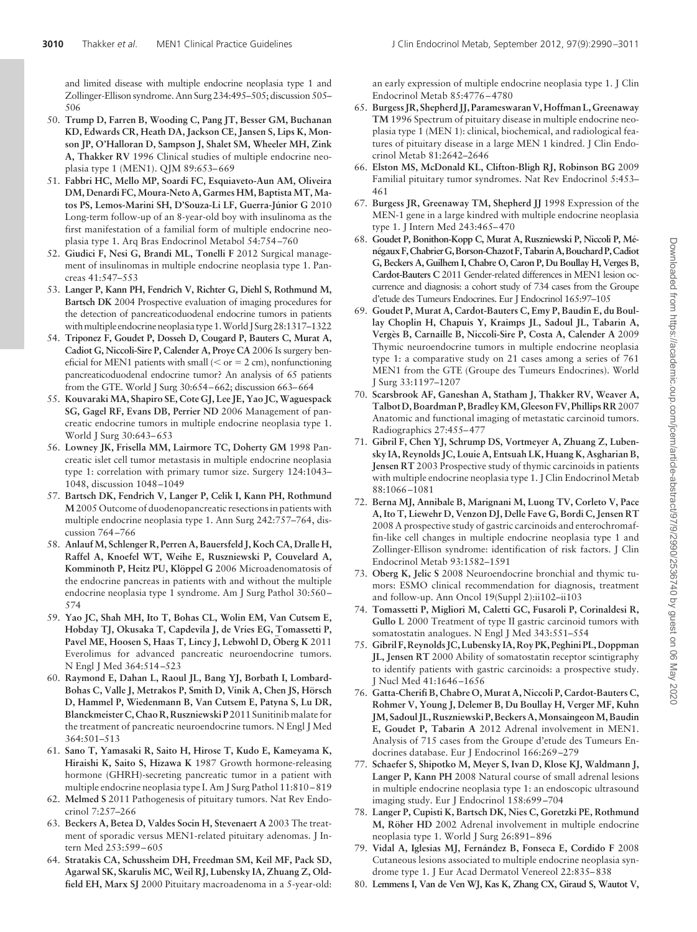and limited disease with multiple endocrine neoplasia type 1 and Zollinger-Ellison syndrome. Ann Surg 234:495–505; discussion 505– 506

- 50. **Trump D, Farren B, Wooding C, Pang JT, Besser GM, Buchanan KD, Edwards CR, Heath DA, Jackson CE, Jansen S, Lips K, Monson JP, O'Halloran D, Sampson J, Shalet SM, Wheeler MH, Zink A, Thakker RV** 1996 Clinical studies of multiple endocrine neoplasia type 1 (MEN1). QJM 89:653-669
- 51. **Fabbri HC, Mello MP, Soardi FC, Esquiaveto-Aun AM, Oliveira DM, Denardi FC, Moura-Neto A, Garmes HM, Baptista MT, Ma**tos PS, Lemos-Marini SH, D'Souza-Li LF, Guerra-Júnior G 2010 Long-term follow-up of an 8-year-old boy with insulinoma as the first manifestation of a familial form of multiple endocrine neoplasia type 1. Arq Bras Endocrinol Metabol 54:754 –760
- 52. **Giudici F, Nesi G, Brandi ML, Tonelli F** 2012 Surgical management of insulinomas in multiple endocrine neoplasia type 1. Pancreas 41:547–553
- 53. **Langer P, Kann PH, Fendrich V, Richter G, Diehl S, Rothmund M, Bartsch DK** 2004 Prospective evaluation of imaging procedures for the detection of pancreaticoduodenal endocrine tumors in patients with multiple endocrine neoplasia type 1. World J Surg 28:1317–1322
- 54. **Triponez F, Goudet P, Dosseh D, Cougard P, Bauters C, Murat A, Cadiot G, Niccoli-Sire P, Calender A, Proye CA** 2006 Is surgery beneficial for MEN1 patients with small ( $\leq$  or  $=$  2 cm), nonfunctioning pancreaticoduodenal endocrine tumor? An analysis of 65 patients from the GTE. World J Surg 30:654 –662; discussion 663–664
- 55. **Kouvaraki MA, Shapiro SE, Cote GJ, Lee JE, Yao JC, Waguespack SG, Gagel RF, Evans DB, Perrier ND** 2006 Management of pancreatic endocrine tumors in multiple endocrine neoplasia type 1. World J Surg 30:643-653
- 56. **Lowney JK, Frisella MM, Lairmore TC, Doherty GM** 1998 Pancreatic islet cell tumor metastasis in multiple endocrine neoplasia type 1: correlation with primary tumor size. Surgery 124:1043– 1048, discussion 1048 –1049
- 57. **Bartsch DK, Fendrich V, Langer P, Celik I, Kann PH, Rothmund M**2005 Outcome of duodenopancreatic resections in patients with multiple endocrine neoplasia type 1. Ann Surg 242:757–764, discussion 764 –766
- 58. **Anlauf M, Schlenger R, Perren A, Bauersfeld J, Koch CA, Dralle H, Raffel A, Knoefel WT, Weihe E, Ruszniewski P, Couvelard A,** Komminoth P, Heitz PU, Klöppel G 2006 Microadenomatosis of the endocrine pancreas in patients with and without the multiple endocrine neoplasia type 1 syndrome. Am J Surg Pathol 30:560 – 574
- 59. **Yao JC, Shah MH, Ito T, Bohas CL, Wolin EM, Van Cutsem E, Hobday TJ, Okusaka T, Capdevila J, de Vries EG, Tomassetti P, Pavel ME, Hoosen S, Haas T, Lincy J, Lebwohl D, Oberg K 2011** Everolimus for advanced pancreatic neuroendocrine tumors. N Engl J Med 364:514 –523
- 60. **Raymond E, Dahan L, Raoul JL, Bang YJ, Borbath I, Lombard-**Bohas C, Valle J, Metrakos P, Smith D, Vinik A, Chen JS, Hörsch **D, Hammel P, Wiedenmann B, Van Cutsem E, Patyna S, Lu DR, Blanckmeister C, Chao R, Ruszniewski P** 2011 Sunitinib malate for the treatment of pancreatic neuroendocrine tumors. N Engl J Med 364:501–513
- 61. **Sano T, Yamasaki R, Saito H, Hirose T, Kudo E, Kameyama K, Hiraishi K, Saito S, Hizawa K** 1987 Growth hormone-releasing hormone (GHRH)-secreting pancreatic tumor in a patient with multiple endocrine neoplasia type I. Am J Surg Pathol 11:810 – 819
- 62. **Melmed S** 2011 Pathogenesis of pituitary tumors. Nat Rev Endocrinol 7:257–266
- 63. **Beckers A, Betea D, Valdes Socin H, Stevenaert A** 2003 The treatment of sporadic versus MEN1-related pituitary adenomas. J Intern Med 253:599 – 605
- 64. **Stratakis CA, Schussheim DH, Freedman SM, Keil MF, Pack SD, Agarwal SK, Skarulis MC, Weil RJ, Lubensky IA, Zhuang Z, Oldfield EH, Marx SJ** 2000 Pituitary macroadenoma in a 5-year-old:

an early expression of multiple endocrine neoplasia type 1. J Clin Endocrinol Metab 85:4776 – 4780

- 65. **Burgess JR, Shepherd JJ, Parameswaran V, Hoffman L, Greenaway TM** 1996 Spectrum of pituitary disease in multiple endocrine neoplasia type 1 (MEN 1): clinical, biochemical, and radiological features of pituitary disease in a large MEN 1 kindred. J Clin Endocrinol Metab 81:2642–2646
- 66. **Elston MS, McDonald KL, Clifton-Bligh RJ, Robinson BG** 2009 Familial pituitary tumor syndromes. Nat Rev Endocrinol 5:453– 461
- 67. **Burgess JR, Greenaway TM, Shepherd JJ** 1998 Expression of the MEN-1 gene in a large kindred with multiple endocrine neoplasia type 1. J Intern Med 243:465– 470
- 68. **Goudet P, Bonithon-Kopp C, Murat A, Ruszniewski P, Niccoli P, Me´ ne´gaux F,ChabrierG,Borson-Chazot F,TabarinA,Bouchard P,Cadiot G, Beckers A, Guilhem I, Chabre O, Caron P, Du Boullay H, Verges B, Cardot-Bauters C** 2011 Gender-related differences in MEN1 lesion occurrence and diagnosis: a cohort study of 734 cases from the Groupe d'etude des Tumeurs Endocrines. Eur J Endocrinol 165:97–105
- 69. **Goudet P, Murat A, Cardot-Bauters C, Emy P, Baudin E, du Boullay Choplin H, Chapuis Y, Kraimps JL, Sadoul JL, Tabarin A, Verge`s B, Carnaille B, Niccoli-Sire P, Costa A, Calender A** 2009 Thymic neuroendocrine tumors in multiple endocrine neoplasia type 1: a comparative study on 21 cases among a series of 761 MEN1 from the GTE (Groupe des Tumeurs Endocrines). World J Surg 33:1197–1207
- 70. **Scarsbrook AF, Ganeshan A, Statham J, Thakker RV, Weaver A, Talbot D, Boardman P, Bradley KM, Gleeson FV, Phillips RR**2007 Anatomic and functional imaging of metastatic carcinoid tumors. Radiographics 27:455– 477
- 71. **Gibril F, Chen YJ, Schrump DS, Vortmeyer A, Zhuang Z, Lubensky IA, Reynolds JC, Louie A, Entsuah LK, Huang K, Asgharian B, Jensen RT** 2003 Prospective study of thymic carcinoids in patients with multiple endocrine neoplasia type 1. J Clin Endocrinol Metab 88:1066 –1081
- 72. **Berna MJ, Annibale B, Marignani M, Luong TV, Corleto V, Pace A, Ito T, Liewehr D, Venzon DJ, Delle Fave G, Bordi C, Jensen RT** 2008 A prospective study of gastric carcinoids and enterochromaffin-like cell changes in multiple endocrine neoplasia type 1 and Zollinger-Ellison syndrome: identification of risk factors. J Clin Endocrinol Metab 93:1582–1591
- 73. **Oberg K, Jelic S** 2008 Neuroendocrine bronchial and thymic tumors: ESMO clinical recommendation for diagnosis, treatment and follow-up. Ann Oncol 19(Suppl 2):ii102–ii103
- 74. **Tomassetti P, Migliori M, Caletti GC, Fusaroli P, Corinaldesi R, Gullo L** 2000 Treatment of type II gastric carcinoid tumors with somatostatin analogues. N Engl J Med 343:551–554
- 75. **Gibril F, Reynolds JC, Lubensky IA, Roy PK, Peghini PL, Doppman JL, Jensen RT** 2000 Ability of somatostatin receptor scintigraphy to identify patients with gastric carcinoids: a prospective study. J Nucl Med 41:1646 –1656
- 76. **Gatta-Cherifi B, Chabre O, Murat A, Niccoli P, Cardot-Bauters C, Rohmer V, Young J, Delemer B, Du Boullay H, Verger MF, Kuhn JM, Sadoul JL, Ruszniewski P, Beckers A,MonsaingeonM, Baudin E, Goudet P, Tabarin A** 2012 Adrenal involvement in MEN1. Analysis of 715 cases from the Groupe d'etude des Tumeurs Endocrines database. Eur J Endocrinol 166:269 –279
- 77. **Schaefer S, Shipotko M, Meyer S, Ivan D, Klose KJ, Waldmann J, Langer P, Kann PH** 2008 Natural course of small adrenal lesions in multiple endocrine neoplasia type 1: an endoscopic ultrasound imaging study. Eur J Endocrinol 158:699 –704
- 78. **Langer P, Cupisti K, Bartsch DK, Nies C, Goretzki PE, Rothmund M, Röher HD** 2002 Adrenal involvement in multiple endocrine neoplasia type 1. World J Surg 26:891– 896
- 79. **Vidal A, Iglesias MJ, Ferna´ndez B, Fonseca E, Cordido F** 2008 Cutaneous lesions associated to multiple endocrine neoplasia syndrome type 1. J Eur Acad Dermatol Venereol 22:835– 838
- 80. **Lemmens I, Van de Ven WJ, Kas K, Zhang CX, Giraud S, Wautot V,**